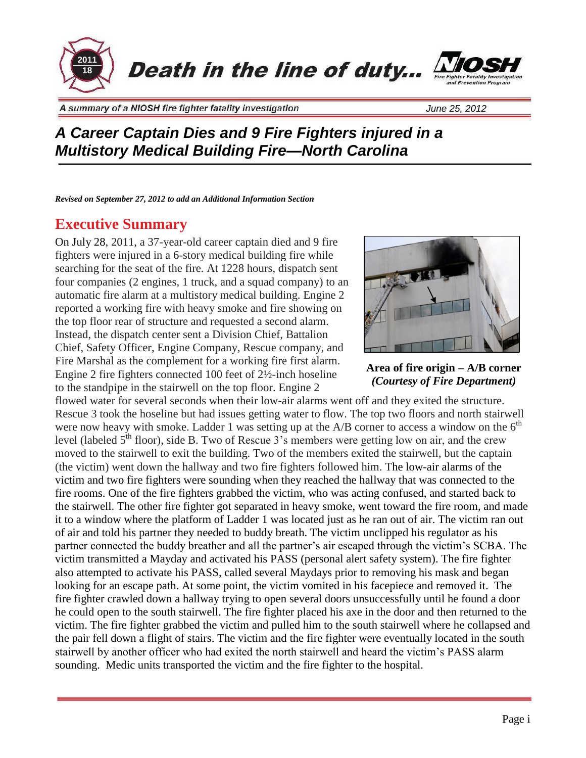

## *A Career Captain Dies and 9 Fire Fighters injured in a Multistory Medical Building Fire—North Carolina*

*Revised on September 27, 2012 to add an Additional Information Section*

## **Executive Summary**

On July 28, 2011, a 37-year-old career captain died and 9 fire fighters were injured in a 6-story medical building fire while searching for the seat of the fire. At 1228 hours, dispatch sent four companies (2 engines, 1 truck, and a squad company) to an automatic fire alarm at a multistory medical building. Engine 2 reported a working fire with heavy smoke and fire showing on the top floor rear of structure and requested a second alarm. Instead, the dispatch center sent a Division Chief, Battalion Chief, Safety Officer, Engine Company, Rescue company, and Fire Marshal as the complement for a working fire first alarm. Engine 2 fire fighters connected 100 feet of 2½-inch hoseline to the standpipe in the stairwell on the top floor. Engine 2



**Area of fire origin – A/B corner** *(Courtesy of Fire Department)*

flowed water for several seconds when their low-air alarms went off and they exited the structure. Rescue 3 took the hoseline but had issues getting water to flow. The top two floors and north stairwell were now heavy with smoke. Ladder 1 was setting up at the A/B corner to access a window on the  $6<sup>th</sup>$ level (labeled  $5<sup>th</sup>$  floor), side B. Two of Rescue 3's members were getting low on air, and the crew moved to the stairwell to exit the building. Two of the members exited the stairwell, but the captain (the victim) went down the hallway and two fire fighters followed him. The low-air alarms of the victim and two fire fighters were sounding when they reached the hallway that was connected to the fire rooms. One of the fire fighters grabbed the victim, who was acting confused, and started back to the stairwell. The other fire fighter got separated in heavy smoke, went toward the fire room, and made it to a window where the platform of Ladder 1 was located just as he ran out of air. The victim ran out of air and told his partner they needed to buddy breath. The victim unclipped his regulator as his partner connected the buddy breather and all the partner's air escaped through the victim's SCBA. The victim transmitted a Mayday and activated his PASS (personal alert safety system). The fire fighter also attempted to activate his PASS, called several Maydays prior to removing his mask and began looking for an escape path. At some point, the victim vomited in his facepiece and removed it. The fire fighter crawled down a hallway trying to open several doors unsuccessfully until he found a door he could open to the south stairwell. The fire fighter placed his axe in the door and then returned to the victim. The fire fighter grabbed the victim and pulled him to the south stairwell where he collapsed and the pair fell down a flight of stairs. The victim and the fire fighter were eventually located in the south stairwell by another officer who had exited the north stairwell and heard the victim's PASS alarm sounding. Medic units transported the victim and the fire fighter to the hospital.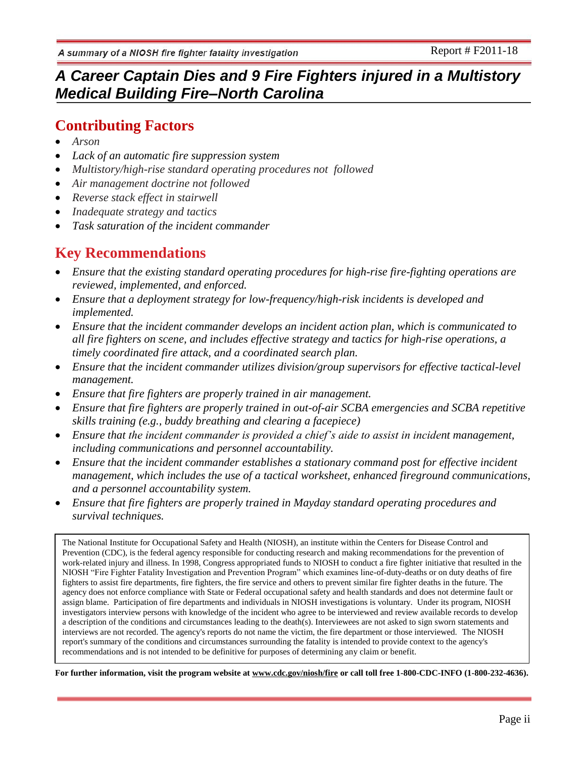## *A Career Captain Dies and 9 Fire Fighters injured in a Multistory Medical Building Fire–North Carolina*

## **Contributing Factors**

- *Arson*
- *Lack of an automatic fire suppression system*
- *Multistory/high-rise standard operating procedures not followed*
- *Air management doctrine not followed*
- *Reverse stack effect in stairwell*
- *Inadequate strategy and tactics*
- *Task saturation of the incident commander*

## **Key Recommendations**

- *Ensure that the existing standard operating procedures for high-rise fire-fighting operations are reviewed, implemented, and enforced.*
- *Ensure that a deployment strategy for low-frequency/high-risk incidents is developed and implemented.*
- *Ensure that the incident commander develops an incident action plan, which is communicated to all fire fighters on scene, and includes effective strategy and tactics for high-rise operations, a timely coordinated fire attack, and a coordinated search plan.*
- *Ensure that the incident commander utilizes division/group supervisors for effective tactical-level management.*
- *Ensure that fire fighters are properly trained in air management.*
- *Ensure that fire fighters are properly trained in out-of-air SCBA emergencies and SCBA repetitive skills training (e.g., buddy breathing and clearing a facepiece)*
- *Ensure that the incident commander is provided a chief's aide to assist in incident management, including communications and personnel accountability.*
- *Ensure that the incident commander establishes a stationary command post for effective incident management, which includes the use of a tactical worksheet, enhanced fireground communications, and a personnel accountability system.*
- *Ensure that fire fighters are properly trained in Mayday standard operating procedures and survival techniques.*

The National Institute for Occupational Safety and Health (NIOSH), an institute within the Centers for Disease Control and Prevention (CDC), is the federal agency responsible for conducting research and making recommendations for the prevention of work-related injury and illness. In 1998, Congress appropriated funds to NIOSH to conduct a fire fighter initiative that resulted in the NIOSH "Fire Fighter Fatality Investigation and Prevention Program" which examines line-of-duty-deaths or on duty deaths of fire fighters to assist fire departments, fire fighters, the fire service and others to prevent similar fire fighter deaths in the future. The agency does not enforce compliance with State or Federal occupational safety and health standards and does not determine fault or assign blame. Participation of fire departments and individuals in NIOSH investigations is voluntary. Under its program, NIOSH investigators interview persons with knowledge of the incident who agree to be interviewed and review available records to develop a description of the conditions and circumstances leading to the death(s). Interviewees are not asked to sign sworn statements and interviews are not recorded. The agency's reports do not name the victim, the fire department or those interviewed. The NIOSH report's summary of the conditions and circumstances surrounding the fatality is intended to provide context to the agency's recommendations and is not intended to be definitive for purposes of determining any claim or benefit.

**For further information, visit the program website at [www.cdc.gov/niosh/fire](http://www.cdc.gov/niosh/fire) or call toll free 1-800-CDC-INFO (1-800-232-4636).**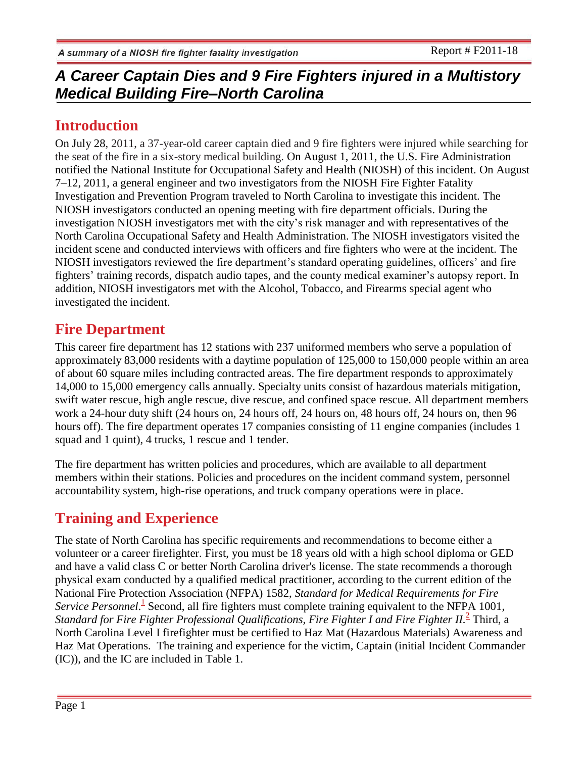## **Introduction**

On July 28, 2011, a 37-year-old career captain died and 9 fire fighters were injured while searching for the seat of the fire in a six-story medical building. On August 1, 2011, the U.S. Fire Administration notified the National Institute for Occupational Safety and Health (NIOSH) of this incident. On August 7–12, 2011, a general engineer and two investigators from the NIOSH Fire Fighter Fatality Investigation and Prevention Program traveled to North Carolina to investigate this incident. The NIOSH investigators conducted an opening meeting with fire department officials. During the investigation NIOSH investigators met with the city's risk manager and with representatives of the North Carolina Occupational Safety and Health Administration. The NIOSH investigators visited the incident scene and conducted interviews with officers and fire fighters who were at the incident. The NIOSH investigators reviewed the fire department's standard operating guidelines, officers' and fire fighters' training records, dispatch audio tapes, and the county medical examiner's autopsy report. In addition, NIOSH investigators met with the Alcohol, Tobacco, and Firearms special agent who investigated the incident.

## **Fire Department**

This career fire department has 12 stations with 237 uniformed members who serve a population of approximately 83,000 residents with a daytime population of 125,000 to 150,000 people within an area of about 60 square miles including contracted areas. The fire department responds to approximately 14,000 to 15,000 emergency calls annually. Specialty units consist of hazardous materials mitigation, swift water rescue, high angle rescue, dive rescue, and confined space rescue. All department members work a 24-hour duty shift (24 hours on, 24 hours off, 24 hours on, 48 hours off, 24 hours on, then 96 hours off). The fire department operates 17 companies consisting of 11 engine companies (includes 1 squad and 1 quint), 4 trucks, 1 rescue and 1 tender.

The fire department has written policies and procedures, which are available to all department members within their stations. Policies and procedures on the incident command system, personnel accountability system, high-rise operations, and truck company operations were in place.

# **Training and Experience**

The state of North Carolina has specific requirements and recommendations to become either a volunteer or a career firefighter. First, you must be 18 years old with a high school diploma or GED and have a valid class C or better North Carolina driver's license. The state recommends a thorough physical exam conducted by a qualified [medical](http://www.ehow.com/way_5486291_requirements-become-north-carolina-firefighter.html) practitioner, according to the current edition of the National Fire Protection Association (NFPA) 1582, *Standard for Medical Requirements for Fire* Service Personnel.<sup>1</sup> Second, all fire fighters must complete training equivalent to the NFPA 1001, Standard for Fire Fighter Professional Qualifications, Fire Fighter I and Fire Fighter II.<sup>2</sup> Third, a North Carolina Level I firefighter must be certified to Haz Mat (Hazardous Materials) Awareness and Haz Mat Operations. The training and experience for the victim, Captain (initial Incident Commander (IC)), and the IC are included in Table 1.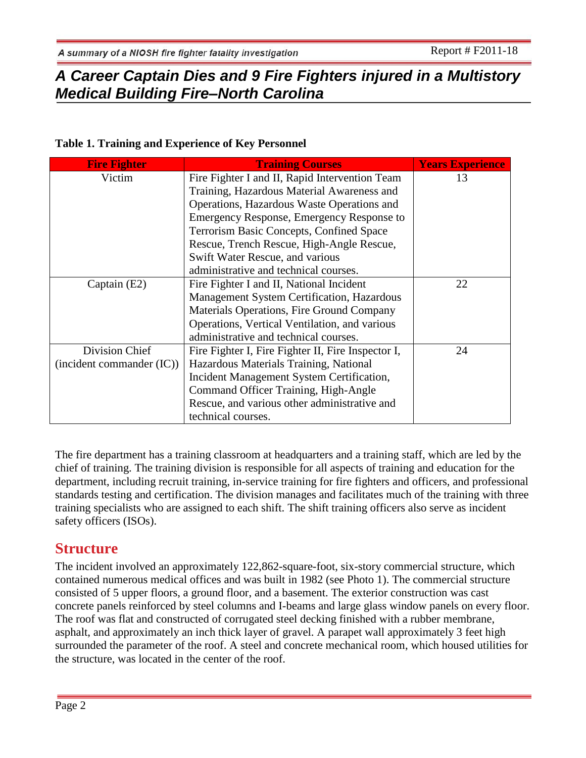## **Table 1. Training and Experience of Key Personnel**

| <b>Fire Fighter</b>       | <b>Training Courses</b>                            | <b>Years Experience</b> |
|---------------------------|----------------------------------------------------|-------------------------|
| Victim                    | Fire Fighter I and II, Rapid Intervention Team     | 13                      |
|                           | Training, Hazardous Material Awareness and         |                         |
|                           | Operations, Hazardous Waste Operations and         |                         |
|                           | Emergency Response, Emergency Response to          |                         |
|                           | Terrorism Basic Concepts, Confined Space           |                         |
|                           | Rescue, Trench Rescue, High-Angle Rescue,          |                         |
|                           | Swift Water Rescue, and various                    |                         |
|                           | administrative and technical courses.              |                         |
| Captain (E2)              | Fire Fighter I and II, National Incident           | 22                      |
|                           | Management System Certification, Hazardous         |                         |
|                           | Materials Operations, Fire Ground Company          |                         |
|                           | Operations, Vertical Ventilation, and various      |                         |
|                           | administrative and technical courses.              |                         |
| Division Chief            | Fire Fighter I, Fire Fighter II, Fire Inspector I, | 24                      |
| (incident commander (IC)) | Hazardous Materials Training, National             |                         |
|                           | Incident Management System Certification,          |                         |
|                           | Command Officer Training, High-Angle               |                         |
|                           | Rescue, and various other administrative and       |                         |
|                           | technical courses.                                 |                         |

The fire department has a training classroom at headquarters and a training staff, which are led by the chief of training. The training division is responsible for all aspects of training and education for the department, including recruit training, in-service training for fire fighters and officers, and professional standards testing and certification. The division manages and facilitates much of the training with three training specialists who are assigned to each shift. The shift training officers also serve as incident safety officers (ISOs).

## **Structure**

The incident involved an approximately 122,862-square-foot, six-story commercial structure, which contained numerous medical offices and was built in 1982 (see Photo 1). The commercial structure consisted of 5 upper floors, a ground floor, and a basement. The exterior construction was cast concrete panels reinforced by steel columns and I-beams and large glass window panels on every floor. The roof was flat and constructed of corrugated steel decking finished with a rubber membrane, asphalt, and approximately an inch thick layer of gravel. A parapet wall approximately 3 feet high surrounded the parameter of the roof. A steel and concrete mechanical room, which housed utilities for the structure, was located in the center of the roof.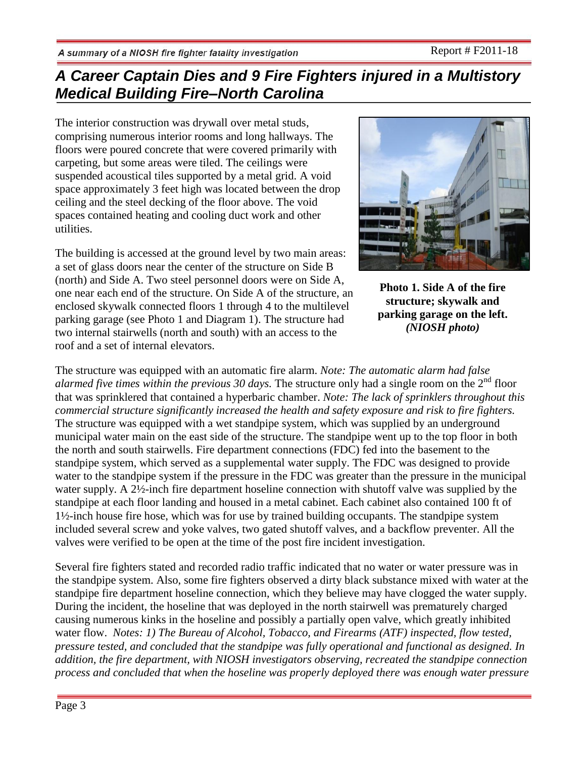The interior construction was drywall over metal studs, comprising numerous interior rooms and long hallways. The floors were poured concrete that were covered primarily with carpeting, but some areas were tiled. The ceilings were suspended acoustical tiles supported by a metal grid. A void space approximately 3 feet high was located between the drop ceiling and the steel decking of the floor above. The void spaces contained heating and cooling duct work and other utilities.

The building is accessed at the ground level by two main areas: a set of glass doors near the center of the structure on Side B (north) and Side A. Two steel personnel doors were on Side A, one near each end of the structure. On Side A of the structure, an enclosed skywalk connected floors 1 through 4 to the multilevel parking garage (see Photo 1 and Diagram 1). The structure had two internal stairwells (north and south) with an access to the roof and a set of internal elevators.



**Photo 1. Side A of the fire structure; skywalk and parking garage on the left.** *(NIOSH photo)*

The structure was equipped with an automatic fire alarm. *Note: The automatic alarm had false alarmed five times within the previous 30 days.* The structure only had a single room on the  $2<sup>nd</sup>$  floor that was sprinklered that contained a hyperbaric chamber. *Note: The lack of sprinklers throughout this commercial structure significantly increased the health and safety exposure and risk to fire fighters.* The structure was equipped with a wet standpipe system, which was supplied by an underground municipal water main on the east side of the structure. The standpipe went up to the top floor in both the north and south stairwells. Fire department connections (FDC) fed into the basement to the standpipe system, which served as a supplemental water supply. The FDC was designed to provide water to the standpipe system if the pressure in the FDC was greater than the pressure in the municipal water supply. A 2½-inch fire department hoseline connection with shutoff valve was supplied by the standpipe at each floor landing and housed in a metal cabinet. Each cabinet also contained 100 ft of 1½-inch house fire hose, which was for use by trained building occupants. The standpipe system included several screw and yoke valves, two gated shutoff valves, and a backflow preventer. All the valves were verified to be open at the time of the post fire incident investigation.

Several fire fighters stated and recorded radio traffic indicated that no water or water pressure was in the standpipe system. Also, some fire fighters observed a dirty black substance mixed with water at the standpipe fire department hoseline connection, which they believe may have clogged the water supply. During the incident, the hoseline that was deployed in the north stairwell was prematurely charged causing numerous kinks in the hoseline and possibly a partially open valve, which greatly inhibited water flow. *Notes: 1) The Bureau of Alcohol, Tobacco, and Firearms (ATF) inspected, flow tested, pressure tested, and concluded that the standpipe was fully operational and functional as designed. In addition, the fire department, with NIOSH investigators observing, recreated the standpipe connection process and concluded that when the hoseline was properly deployed there was enough water pressure*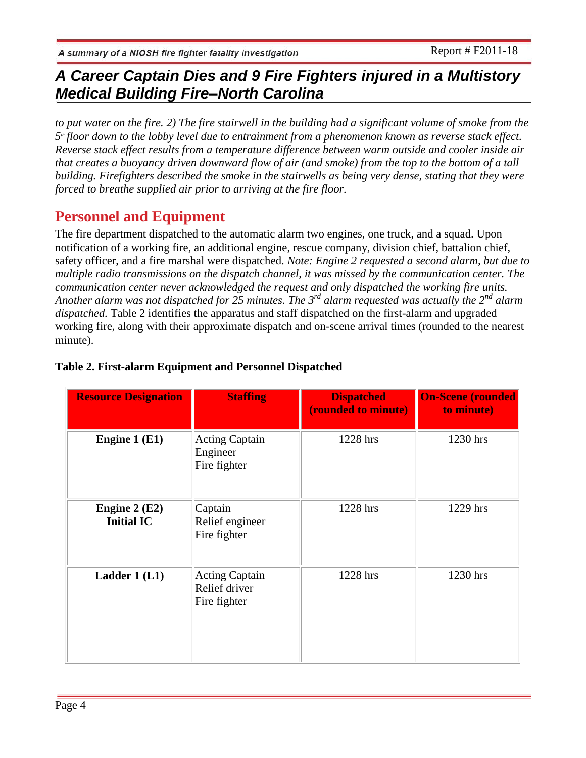*to put water on the fire. 2) The fire stairwell in the building had a significant volume of smoke from the*   $5<sup>th</sup>$  *floor down to the lobby level due to entrainment from a phenomenon known as reverse stack effect. Reverse stack effect results from a temperature difference between warm outside and cooler inside air that creates a buoyancy driven downward flow of air (and smoke) from the top to the bottom of a tall building. Firefighters described the smoke in the stairwells as being very dense, stating that they were forced to breathe supplied air prior to arriving at the fire floor.*

# **Personnel and Equipment**

The fire department dispatched to the automatic alarm two engines, one truck, and a squad. Upon notification of a working fire, an additional engine, rescue company, division chief, battalion chief, safety officer, and a fire marshal were dispatched. *Note: Engine 2 requested a second alarm, but due to multiple radio transmissions on the dispatch channel, it was missed by the communication center. The communication center never acknowledged the request and only dispatched the working fire units. Another alarm was not dispatched for 25 minutes. The 3rd alarm requested was actually the 2nd alarm dispatched.* [Table 2](http://www.cdc.gov/niosh/fire/reports/face200911.html#Table1) identifies the apparatus and staff dispatched on the first-alarm and upgraded working fire, along with their approximate dispatch and on-scene arrival times (rounded to the nearest minute).

| <b>Resource Designation</b>         | <b>Staffing</b>                                        | <b>Dispatched</b><br>(rounded to minute) | <b>On-Scene (rounded)</b><br>to minute) |
|-------------------------------------|--------------------------------------------------------|------------------------------------------|-----------------------------------------|
| Engine 1 (E1)                       | <b>Acting Captain</b><br>Engineer<br>Fire fighter      | 1228 hrs                                 | 1230 hrs                                |
| Engine $2(E2)$<br><b>Initial IC</b> | Captain<br>Relief engineer<br>Fire fighter             | 1228 hrs                                 | 1229 hrs                                |
| Ladder 1 (L1)                       | <b>Acting Captain</b><br>Relief driver<br>Fire fighter | 1228 hrs                                 | 1230 hrs                                |

## **Table 2. First-alarm Equipment and Personnel Dispatched**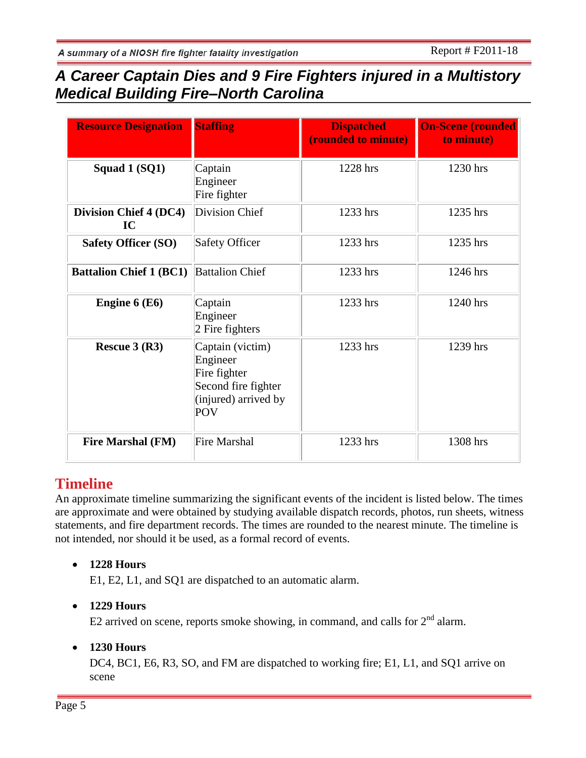| <b>Resource Designation</b>         | <b>Staffing</b>                                                                                           | <b>Dispatched</b><br>(rounded to minute) | <b>On-Scene (rounded)</b><br>to minute) |
|-------------------------------------|-----------------------------------------------------------------------------------------------------------|------------------------------------------|-----------------------------------------|
| Squad 1 (SQ1)                       | Captain<br>Engineer<br>Fire fighter                                                                       | 1228 hrs                                 | 1230 hrs                                |
| <b>Division Chief 4 (DC4)</b><br>IC | Division Chief                                                                                            | 1233 hrs                                 | 1235 hrs                                |
| <b>Safety Officer (SO)</b>          | <b>Safety Officer</b>                                                                                     | 1233 hrs                                 | 1235 hrs                                |
| <b>Battalion Chief 1 (BC1)</b>      | <b>Battalion Chief</b>                                                                                    | 1233 hrs                                 | 1246 hrs                                |
| Engine 6 (E6)                       | Captain<br>Engineer<br>2 Fire fighters                                                                    | 1233 hrs                                 | 1240 hrs                                |
| Rescue $3(R3)$                      | Captain (victim)<br>Engineer<br>Fire fighter<br>Second fire fighter<br>(injured) arrived by<br><b>POV</b> | 1233 hrs                                 | 1239 hrs                                |
| <b>Fire Marshal (FM)</b>            | <b>Fire Marshal</b>                                                                                       | 1233 hrs                                 | 1308 hrs                                |

## **Timeline**

An approximate timeline summarizing the significant events of the incident is listed below. The times are approximate and were obtained by studying available dispatch records, photos, run sheets, witness statements, and fire department records. The times are rounded to the nearest minute. The timeline is not intended, nor should it be used, as a formal record of events.

## **1228 Hours**

E1, E2, L1, and SQ1 are dispatched to an automatic alarm.

## **1229 Hours**

E2 arrived on scene, reports smoke showing, in command, and calls for  $2<sup>nd</sup>$  alarm.

## **1230 Hours**

DC4, BC1, E6, R3, SO, and FM are dispatched to working fire; E1, L1, and SQ1 arrive on scene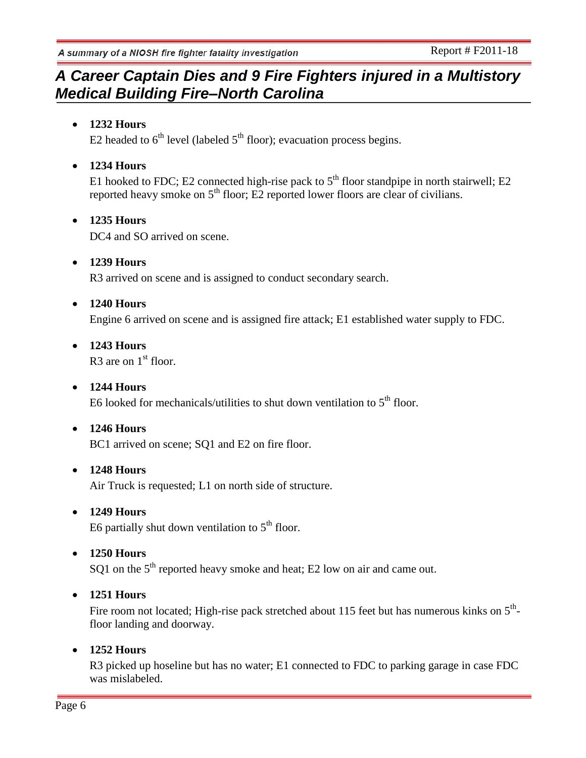# *A Career Captain Dies and 9 Fire Fighters injured in a Multistory Medical Building Fire–North Carolina*

## **1232 Hours**

E2 headed to  $6<sup>th</sup>$  level (labeled  $5<sup>th</sup>$  floor); evacuation process begins.

## **1234 Hours**

E1 hooked to FDC; E2 connected high-rise pack to  $5<sup>th</sup>$  floor standpipe in north stairwell; E2 reported heavy smoke on  $5<sup>th</sup>$  floor; E2 reported lower floors are clear of civilians.

### **1235 Hours**

DC4 and SO arrived on scene.

# **1239 Hours**

R3 arrived on scene and is assigned to conduct secondary search.

### **1240 Hours**

Engine 6 arrived on scene and is assigned fire attack; E1 established water supply to FDC.

 **1243 Hours** R3 are on  $1<sup>st</sup>$  floor.

## **1244 Hours**

E6 looked for mechanicals/utilities to shut down ventilation to  $5<sup>th</sup>$  floor.

### **1246 Hours**

BC1 arrived on scene; SO1 and E2 on fire floor.

### **1248 Hours**

Air Truck is requested; L1 on north side of structure.

### **1249 Hours**

E6 partially shut down ventilation to  $5<sup>th</sup>$  floor.

### **1250 Hours**

SQ1 on the  $5<sup>th</sup>$  reported heavy smoke and heat; E2 low on air and came out.

### **1251 Hours**

Fire room not located; High-rise pack stretched about 115 feet but has numerous kinks on  $5<sup>th</sup>$ floor landing and doorway.

### **1252 Hours**

R3 picked up hoseline but has no water; E1 connected to FDC to parking garage in case FDC was mislabeled.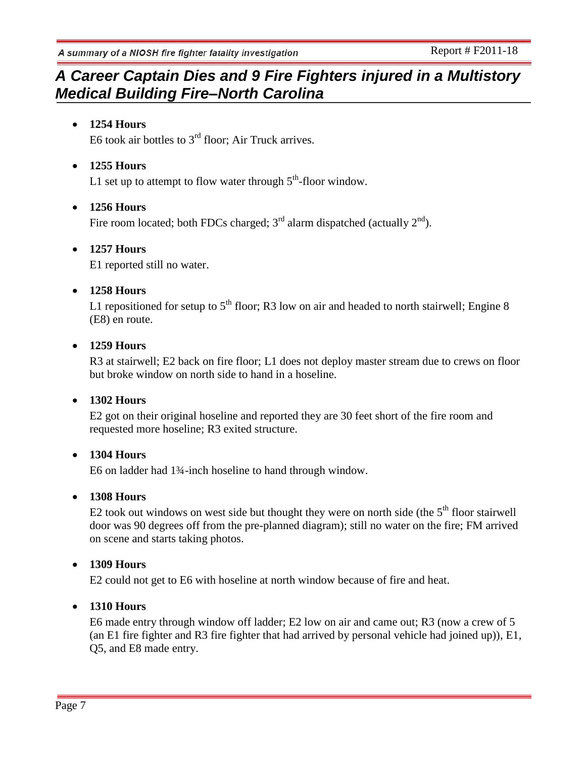## *A Career Captain Dies and 9 Fire Fighters injured in a Multistory Medical Building Fire–North Carolina*

## **1254 Hours**

E6 took air bottles to  $3<sup>rd</sup>$  floor; Air Truck arrives.

## **1255 Hours**

L1 set up to attempt to flow water through  $5<sup>th</sup>$ -floor window.

## **1256 Hours**

Fire room located; both FDCs charged;  $3<sup>rd</sup>$  alarm dispatched (actually  $2<sup>nd</sup>$ ).

### **1257 Hours**

E1 reported still no water.

### **1258 Hours**

L1 repositioned for setup to  $5<sup>th</sup>$  floor; R3 low on air and headed to north stairwell; Engine 8 (E8) en route.

### **1259 Hours**

R3 at stairwell; E2 back on fire floor; L1 does not deploy master stream due to crews on floor but broke window on north side to hand in a hoseline.

## **1302 Hours**

E2 got on their original hoseline and reported they are 30 feet short of the fire room and requested more hoseline; R3 exited structure.

### **1304 Hours**

E6 on ladder had 1¾-inch hoseline to hand through window.

## **1308 Hours**

E2 took out windows on west side but thought they were on north side (the  $5<sup>th</sup>$  floor stairwell door was 90 degrees off from the pre-planned diagram); still no water on the fire; FM arrived on scene and starts taking photos.

## **1309 Hours**

E2 could not get to E6 with hoseline at north window because of fire and heat.

## **1310 Hours**

E6 made entry through window off ladder; E2 low on air and came out; R3 (now a crew of 5 (an E1 fire fighter and R3 fire fighter that had arrived by personal vehicle had joined up)), E1, Q5, and E8 made entry.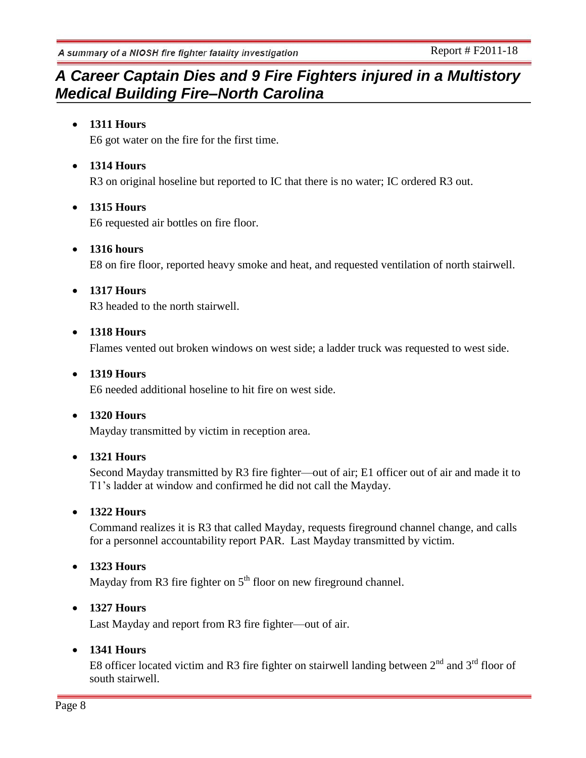## *A Career Captain Dies and 9 Fire Fighters injured in a Multistory Medical Building Fire–North Carolina*

## **1311 Hours**

E6 got water on the fire for the first time.

## **1314 Hours**

R3 on original hoseline but reported to IC that there is no water; IC ordered R3 out.

## **1315 Hours**

E6 requested air bottles on fire floor.

## **1316 hours**

E8 on fire floor, reported heavy smoke and heat, and requested ventilation of north stairwell.

## **1317 Hours**

R3 headed to the north stairwell.

### **1318 Hours**

Flames vented out broken windows on west side; a ladder truck was requested to west side.

### **1319 Hours**

E6 needed additional hoseline to hit fire on west side.

### **1320 Hours**

Mayday transmitted by victim in reception area.

## **1321 Hours**

Second Mayday transmitted by R3 fire fighter—out of air; E1 officer out of air and made it to T1's ladder at window and confirmed he did not call the Mayday.

## **1322 Hours**

Command realizes it is R3 that called Mayday, requests fireground channel change, and calls for a personnel accountability report PAR. Last Mayday transmitted by victim.

## **1323 Hours**

Mayday from R3 fire fighter on  $5<sup>th</sup>$  floor on new fireground channel.

## **1327 Hours**

Last Mayday and report from R3 fire fighter—out of air.

### **1341 Hours**

E8 officer located victim and R3 fire fighter on stairwell landing between  $2<sup>nd</sup>$  and  $3<sup>rd</sup>$  floor of south stairwell.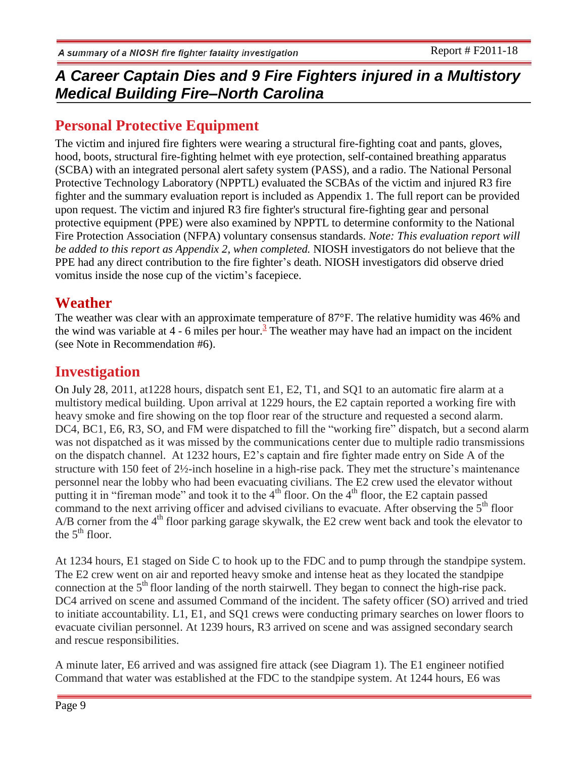## **Personal Protective Equipment**

The victim and injured fire fighters were wearing a structural fire-fighting coat and pants, gloves, hood, boots, structural fire-fighting helmet with eye protection, self-contained breathing apparatus (SCBA) with an integrated personal alert safety system (PASS), and a radio. The National Personal Protective Technology Laboratory (NPPTL) evaluated the SCBAs of the victim and injured R3 fire fighter and the summary evaluation report is included as Appendix 1. The full report can be provided upon request. The victim and injured R3 fire fighter's structural fire-fighting gear and personal protective equipment (PPE) were also examined by NPPTL to determine conformity to the National Fire Protection Association (NFPA) voluntary consensus standards. *Note: This evaluation report will be added to this report as Appendix 2, when completed.* NIOSH investigators do not believe that the PPE had any direct contribution to the fire fighter's death. NIOSH investigators did observe dried vomitus inside the nose cup of the victim's facepiece.

## **Weather**

The weather was clear with an approximate temperature of 87°F. The relative humidity was 46% and the wind was variable at  $4 - 6$  miles per hour.<sup>3</sup> The weather may have had an impact on the incident (see Note in Recommendation #6).

## **Investigation**

On July 28, 2011, at1228 hours, dispatch sent E1, E2, T1, and SQ1 to an automatic fire alarm at a multistory medical building. Upon arrival at 1229 hours, the E2 captain reported a working fire with heavy smoke and fire showing on the top floor rear of the structure and requested a second alarm. DC4, BC1, E6, R3, SO, and FM were dispatched to fill the "working fire" dispatch, but a second alarm was not dispatched as it was missed by the communications center due to multiple radio transmissions on the dispatch channel. At 1232 hours, E2's captain and fire fighter made entry on Side A of the structure with 150 feet of 2½-inch hoseline in a high-rise pack. They met the structure's maintenance personnel near the lobby who had been evacuating civilians. The E2 crew used the elevator without putting it in "fireman mode" and took it to the  $4<sup>th</sup>$  floor. On the  $4<sup>th</sup>$  floor, the E2 captain passed command to the next arriving officer and advised civilians to evacuate. After observing the  $5<sup>th</sup>$  floor A/B corner from the  $4<sup>th</sup>$  floor parking garage skywalk, the E2 crew went back and took the elevator to the  $5<sup>th</sup>$  floor.

At 1234 hours, E1 staged on Side C to hook up to the FDC and to pump through the standpipe system. The E2 crew went on air and reported heavy smoke and intense heat as they located the standpipe connection at the  $5<sup>th</sup>$  floor landing of the north stairwell. They began to connect the high-rise pack. DC4 arrived on scene and assumed Command of the incident. The safety officer (SO) arrived and tried to initiate accountability. L1, E1, and SQ1 crews were conducting primary searches on lower floors to evacuate civilian personnel. At 1239 hours, R3 arrived on scene and was assigned secondary search and rescue responsibilities.

A minute later, E6 arrived and was assigned fire attack (see Diagram 1). The E1 engineer notified Command that water was established at the FDC to the standpipe system. At 1244 hours, E6 was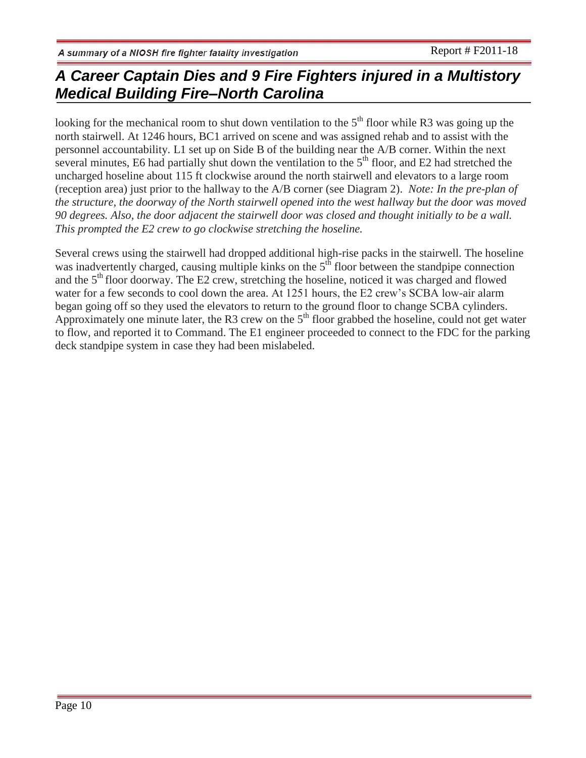looking for the mechanical room to shut down ventilation to the  $5<sup>th</sup>$  floor while R3 was going up the north stairwell. At 1246 hours, BC1 arrived on scene and was assigned rehab and to assist with the personnel accountability. L1 set up on Side B of the building near the A/B corner. Within the next several minutes, E6 had partially shut down the ventilation to the  $5<sup>th</sup>$  floor, and E2 had stretched the uncharged hoseline about 115 ft clockwise around the north stairwell and elevators to a large room (reception area) just prior to the hallway to the A/B corner (see Diagram 2). *Note: In the pre-plan of the structure, the doorway of the North stairwell opened into the west hallway but the door was moved 90 degrees. Also, the door adjacent the stairwell door was closed and thought initially to be a wall. This prompted the E2 crew to go clockwise stretching the hoseline.*

Several crews using the stairwell had dropped additional high-rise packs in the stairwell. The hoseline was inadvertently charged, causing multiple kinks on the  $5<sup>th</sup>$  floor between the standpipe connection and the  $5<sup>th</sup>$  floor doorway. The E2 crew, stretching the hoseline, noticed it was charged and flowed water for a few seconds to cool down the area. At 1251 hours, the E2 crew's SCBA low-air alarm began going off so they used the elevators to return to the ground floor to change SCBA cylinders. Approximately one minute later, the R3 crew on the  $5<sup>th</sup>$  floor grabbed the hoseline, could not get water to flow, and reported it to Command. The E1 engineer proceeded to connect to the FDC for the parking deck standpipe system in case they had been mislabeled.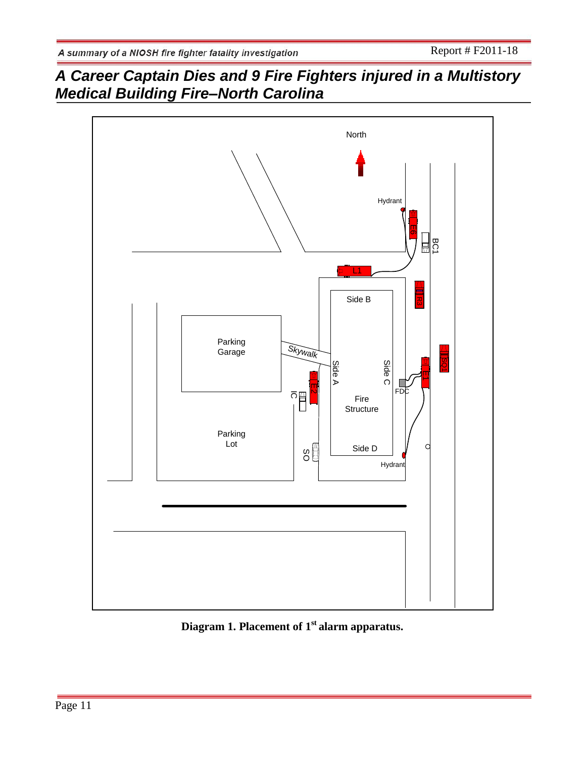

**Diagram 1. Placement of 1st alarm apparatus.**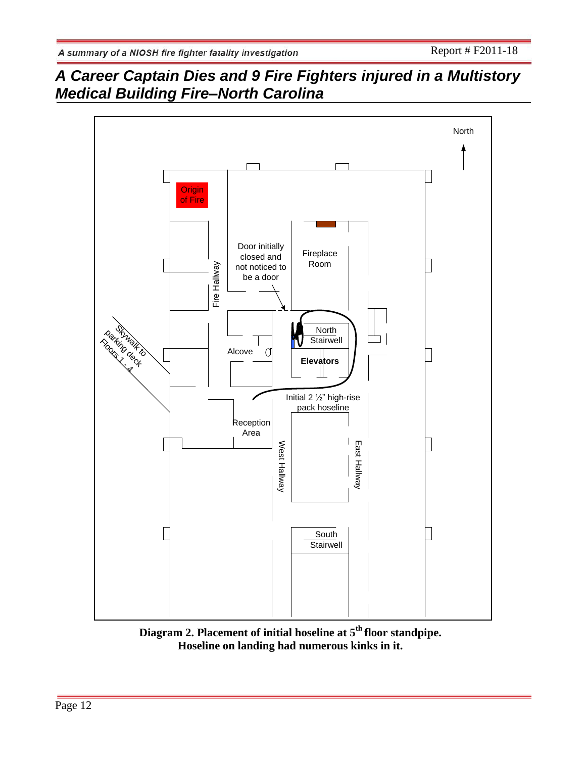

**Diagram 2. Placement of initial hoseline at 5th floor standpipe. Hoseline on landing had numerous kinks in it.**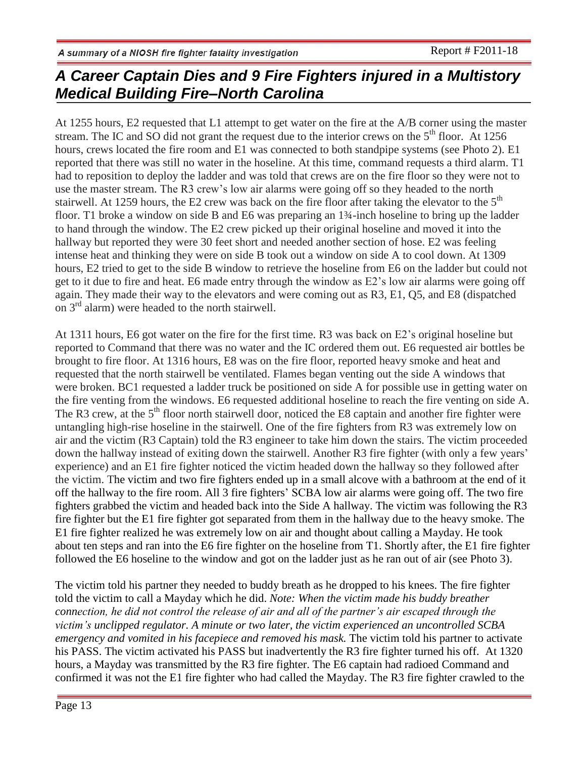At 1255 hours, E2 requested that L1 attempt to get water on the fire at the A/B corner using the master stream. The IC and SO did not grant the request due to the interior crews on the  $5<sup>th</sup>$  floor. At 1256 hours, crews located the fire room and E1 was connected to both standpipe systems (see Photo 2). E1 reported that there was still no water in the hoseline. At this time, command requests a third alarm. T1 had to reposition to deploy the ladder and was told that crews are on the fire floor so they were not to use the master stream. The R3 crew's low air alarms were going off so they headed to the north stairwell. At 1259 hours, the E2 crew was back on the fire floor after taking the elevator to the  $5<sup>th</sup>$ floor. T1 broke a window on side B and E6 was preparing an 1¾-inch hoseline to bring up the ladder to hand through the window. The E2 crew picked up their original hoseline and moved it into the hallway but reported they were 30 feet short and needed another section of hose. E2 was feeling intense heat and thinking they were on side B took out a window on side A to cool down. At 1309 hours, E2 tried to get to the side B window to retrieve the hoseline from E6 on the ladder but could not get to it due to fire and heat. E6 made entry through the window as E2's low air alarms were going off again. They made their way to the elevators and were coming out as R3, E1, Q5, and E8 (dispatched on 3 rd alarm) were headed to the north stairwell.

At 1311 hours, E6 got water on the fire for the first time. R3 was back on E2's original hoseline but reported to Command that there was no water and the IC ordered them out. E6 requested air bottles be brought to fire floor. At 1316 hours, E8 was on the fire floor, reported heavy smoke and heat and requested that the north stairwell be ventilated. Flames began venting out the side A windows that were broken. BC1 requested a ladder truck be positioned on side A for possible use in getting water on the fire venting from the windows. E6 requested additional hoseline to reach the fire venting on side A. The R3 crew, at the 5<sup>th</sup> floor north stairwell door, noticed the E8 captain and another fire fighter were untangling high-rise hoseline in the stairwell. One of the fire fighters from R3 was extremely low on air and the victim (R3 Captain) told the R3 engineer to take him down the stairs. The victim proceeded down the hallway instead of exiting down the stairwell. Another R3 fire fighter (with only a few years' experience) and an E1 fire fighter noticed the victim headed down the hallway so they followed after the victim. The victim and two fire fighters ended up in a small alcove with a bathroom at the end of it off the hallway to the fire room. All 3 fire fighters' SCBA low air alarms were going off. The two fire fighters grabbed the victim and headed back into the Side A hallway. The victim was following the R3 fire fighter but the E1 fire fighter got separated from them in the hallway due to the heavy smoke. The E1 fire fighter realized he was extremely low on air and thought about calling a Mayday. He took about ten steps and ran into the E6 fire fighter on the hoseline from T1. Shortly after, the E1 fire fighter followed the E6 hoseline to the window and got on the ladder just as he ran out of air (see Photo 3).

The victim told his partner they needed to buddy breath as he dropped to his knees. The fire fighter told the victim to call a Mayday which he did. *Note: When the victim made his buddy breather connection, he did not control the release of air and all of the partner's air escaped through the victim's unclipped regulator. A minute or two later, the victim experienced an uncontrolled SCBA emergency and vomited in his facepiece and removed his mask.* The victim told his partner to activate his PASS. The victim activated his PASS but inadvertently the R3 fire fighter turned his off. At 1320 hours, a Mayday was transmitted by the R3 fire fighter. The E6 captain had radioed Command and confirmed it was not the E1 fire fighter who had called the Mayday. The R3 fire fighter crawled to the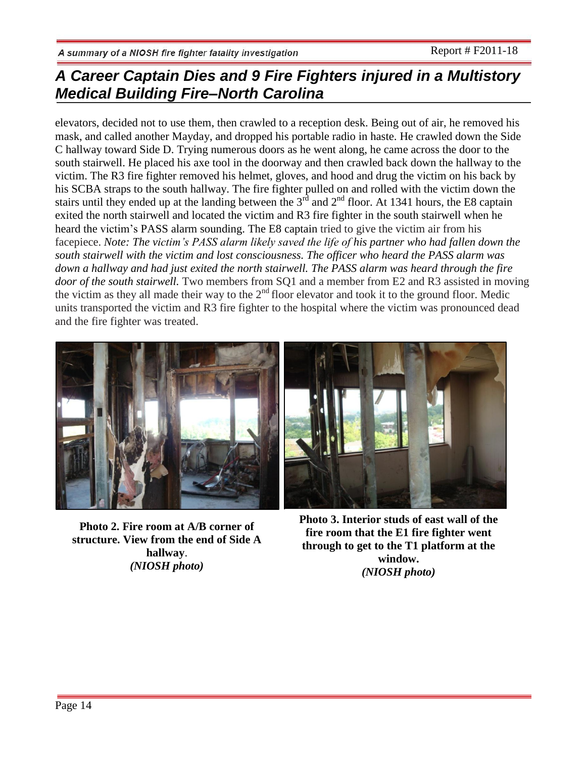elevators, decided not to use them, then crawled to a reception desk. Being out of air, he removed his mask, and called another Mayday, and dropped his portable radio in haste. He crawled down the Side C hallway toward Side D. Trying numerous doors as he went along, he came across the door to the south stairwell. He placed his axe tool in the doorway and then crawled back down the hallway to the victim. The R3 fire fighter removed his helmet, gloves, and hood and drug the victim on his back by his SCBA straps to the south hallway. The fire fighter pulled on and rolled with the victim down the stairs until they ended up at the landing between the  $3<sup>rd</sup>$  and  $2<sup>nd</sup>$  floor. At 1341 hours, the E8 captain exited the north stairwell and located the victim and R3 fire fighter in the south stairwell when he heard the victim's PASS alarm sounding. The E8 captain tried to give the victim air from his facepiece. *Note: The victim's PASS alarm likely saved the life of his partner who had fallen down the south stairwell with the victim and lost consciousness. The officer who heard the PASS alarm was down a hallway and had just exited the north stairwell. The PASS alarm was heard through the fire door of the south stairwell.* Two members from SQ1 and a member from E2 and R3 assisted in moving the victim as they all made their way to the  $2<sup>nd</sup>$  floor elevator and took it to the ground floor. Medic units transported the victim and R3 fire fighter to the hospital where the victim was pronounced dead and the fire fighter was treated.



**Photo 2. Fire room at A/B corner of structure. View from the end of Side A hallway**. *(NIOSH photo)*

**Photo 3. Interior studs of east wall of the fire room that the E1 fire fighter went through to get to the T1 platform at the window.** *(NIOSH photo)*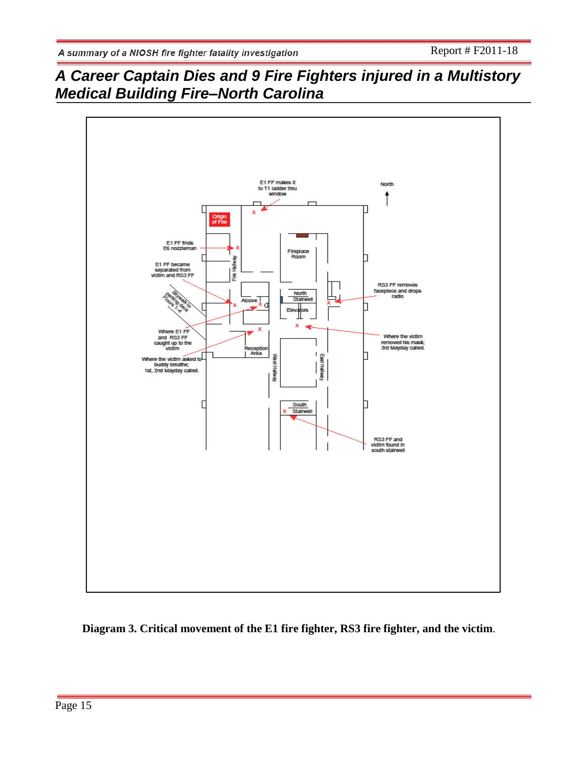

**Diagram 3. Critical movement of the E1 fire fighter, RS3 fire fighter, and the victim**.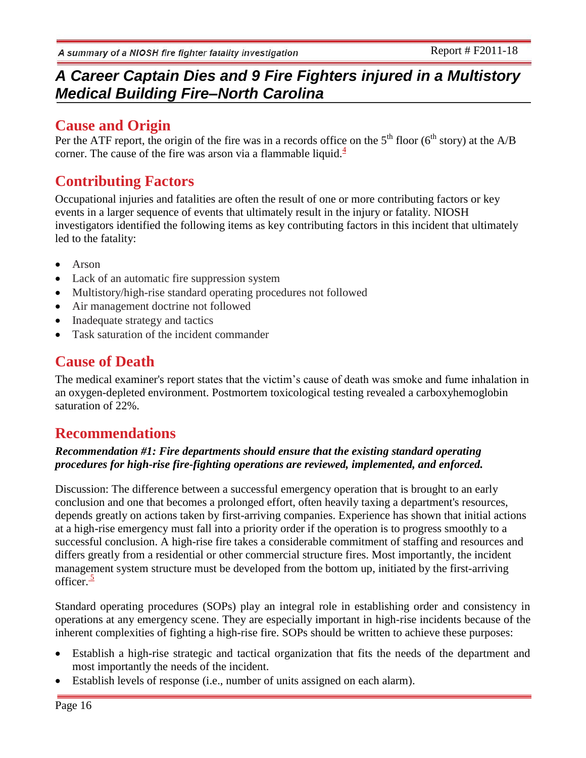## **Cause and Origin**

Per the ATF report, the origin of the fire was in a records office on the  $5<sup>th</sup>$  floor ( $6<sup>th</sup>$  story) at the A/B corner. The cause of the fire was arson via a flammable liquid. $\frac{4}{3}$ 

# **Contributing Factors**

Occupational injuries and fatalities are often the result of one or more contributing factors or key events in a larger sequence of events that ultimately result in the injury or fatality. NIOSH investigators identified the following items as key contributing factors in this incident that ultimately led to the fatality:

- Arson
- Lack of an automatic fire suppression system
- Multistory/high-rise standard operating procedures not followed
- Air management doctrine not followed
- Inadequate strategy and tactics
- Task saturation of the incident commander

# **Cause of Death**

The medical examiner's report states that the victim's cause of death was smoke and fume inhalation in an oxygen-depleted environment. Postmortem toxicological testing revealed a carboxyhemoglobin saturation of 22%.

# **Recommendations**

### *Recommendation #1: Fire departments should ensure that the existing standard operating procedures for high-rise fire-fighting operations are reviewed, implemented, and enforced.*

Discussion: The difference between a successful emergency operation that is brought to an early conclusion and one that becomes a prolonged effort, often heavily taxing a department's resources, depends greatly on actions taken by first-arriving companies. Experience has shown that initial actions at a high-rise emergency must fall into a priority order if the operation is to progress smoothly to a successful conclusion. A high-rise fire takes a considerable commitment of staffing and resources and differs greatly from a residential or other commercial structure fires. Most importantly, the incident management system structure must be developed from the bottom up, initiated by the first-arriving officer $\frac{5}{2}$ 

Standard operating procedures (SOPs) play an integral role in establishing order and consistency in operations at any emergency scene. They are especially important in high-rise incidents because of the inherent complexities of fighting a high-rise fire. SOPs should be written to achieve these purposes:

- Establish a high-rise strategic and tactical organization that fits the needs of the department and most importantly the needs of the incident.
- Establish levels of response (i.e., number of units assigned on each alarm).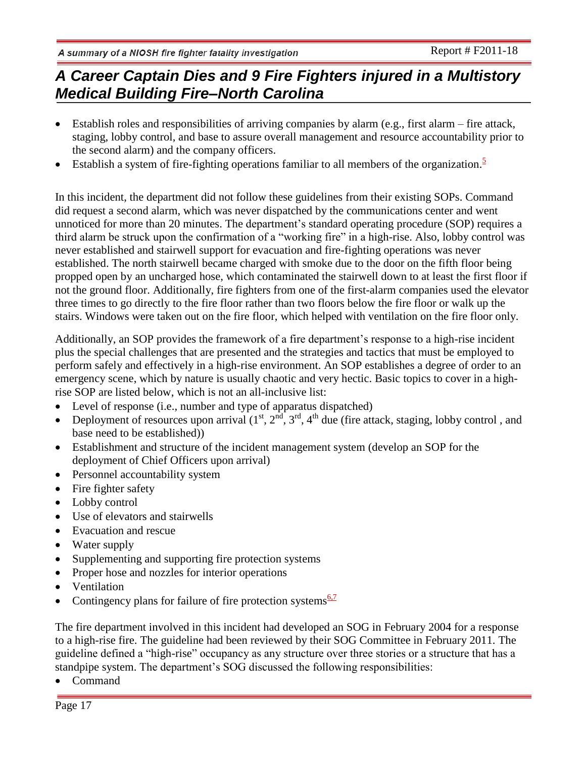- Establish roles and responsibilities of arriving companies by alarm (e.g., first alarm fire attack, staging, lobby control, and base to assure overall management and resource accountability prior to the second alarm) and the company officers.
- Establish a system of fire-fighting operations familiar to all members of the organization.<sup>5</sup>

In this incident, the department did not follow these guidelines from their existing SOPs. Command did request a second alarm, which was never dispatched by the communications center and went unnoticed for more than 20 minutes. The department's standard operating procedure (SOP) requires a third alarm be struck upon the confirmation of a "working fire" in a high-rise. Also, lobby control was never established and stairwell support for evacuation and fire-fighting operations was never established. The north stairwell became charged with smoke due to the door on the fifth floor being propped open by an uncharged hose, which contaminated the stairwell down to at least the first floor if not the ground floor. Additionally, fire fighters from one of the first-alarm companies used the elevator three times to go directly to the fire floor rather than two floors below the fire floor or walk up the stairs. Windows were taken out on the fire floor, which helped with ventilation on the fire floor only.

Additionally, an SOP provides the framework of a fire department's response to a high-rise incident plus the special challenges that are presented and the strategies and tactics that must be employed to perform safely and effectively in a high-rise environment. An SOP establishes a degree of order to an emergency scene, which by nature is usually chaotic and very hectic. Basic topics to cover in a highrise SOP are listed below, which is not an all-inclusive list:

- Level of response (i.e., number and type of apparatus dispatched)
- Deployment of resources upon arrival  $(1<sup>st</sup>, 2<sup>nd</sup>, 3<sup>rd</sup>, 4<sup>th</sup>$  due (fire attack, staging, lobby control, and base need to be established))
- Establishment and structure of the incident management system (develop an SOP for the deployment of Chief Officers upon arrival)
- Personnel accountability system
- Fire fighter safety
- Lobby control
- Use of elevators and stairwells
- Evacuation and rescue
- Water supply
- Supplementing and supporting fire protection systems
- Proper hose and nozzles for interior operations
- Ventilation
- Contingency plans for failure of fire protection systems $\frac{6.7}{6.7}$

The fire department involved in this incident had developed an SOG in February 2004 for a response to a high-rise fire. The guideline had been reviewed by their SOG Committee in February 2011. The guideline defined a "high-rise" occupancy as any structure over three stories or a structure that has a standpipe system. The department's SOG discussed the following responsibilities:

Command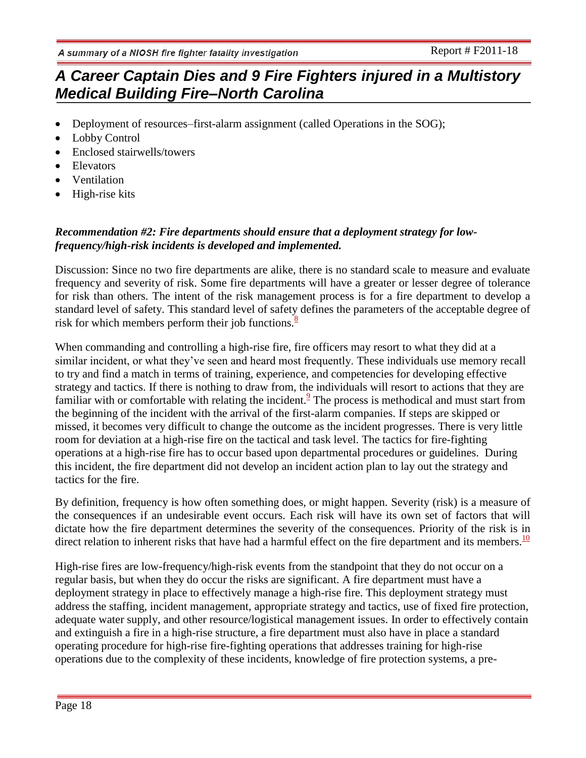- Deployment of resources–first-alarm assignment (called Operations in the SOG);
- Lobby Control
- Enclosed stairwells/towers
- Elevators
- Ventilation
- High-rise kits

### *Recommendation #2: Fire departments should ensure that a deployment strategy for lowfrequency/high-risk incidents is developed and implemented.*

Discussion: Since no two fire departments are alike, there is no standard scale to measure and evaluate frequency and severity of risk. Some fire departments will have a greater or lesser degree of tolerance for risk than others. The intent of the risk management process is for a fire department to develop a standard level of safety. This standard level of safety defines the parameters of the acceptable degree of risk for which members perform their job functions. $\frac{8}{3}$ 

When commanding and controlling a high-rise fire, fire officers may resort to what they did at a similar incident, or what they've seen and heard most frequently. These individuals use memory recall to try and find a match in terms of training, experience, and competencies for developing effective strategy and tactics. If there is nothing to draw from, the individuals will resort to actions that they are familiar with or comfortable with relating the incident. $\frac{9}{2}$  The process is methodical and must start from the beginning of the incident with the arrival of the first-alarm companies. If steps are skipped or missed, it becomes very difficult to change the outcome as the incident progresses. There is very little room for deviation at a high-rise fire on the tactical and task level. The tactics for fire-fighting operations at a high-rise fire has to occur based upon departmental procedures or guidelines. During this incident, the fire department did not develop an incident action plan to lay out the strategy and tactics for the fire.

By definition, frequency is how often something does, or might happen. Severity (risk) is a measure of the consequences if an undesirable event occurs. Each risk will have its own set of factors that will dictate how the fire department determines the severity of the consequences. Priority of the risk is in direct relation to inherent risks that have had a harmful effect on the fire department and its members.<sup>10</sup>

High-rise fires are low-frequency/high-risk events from the standpoint that they do not occur on a regular basis, but when they do occur the risks are significant. A fire department must have a deployment strategy in place to effectively manage a high-rise fire. This deployment strategy must address the staffing, incident management, appropriate strategy and tactics, use of fixed fire protection, adequate water supply, and other resource/logistical management issues. In order to effectively contain and extinguish a fire in a high-rise structure, a fire department must also have in place a standard operating procedure for high-rise fire-fighting operations that addresses training for high-rise operations due to the complexity of these incidents, knowledge of fire protection systems, a pre-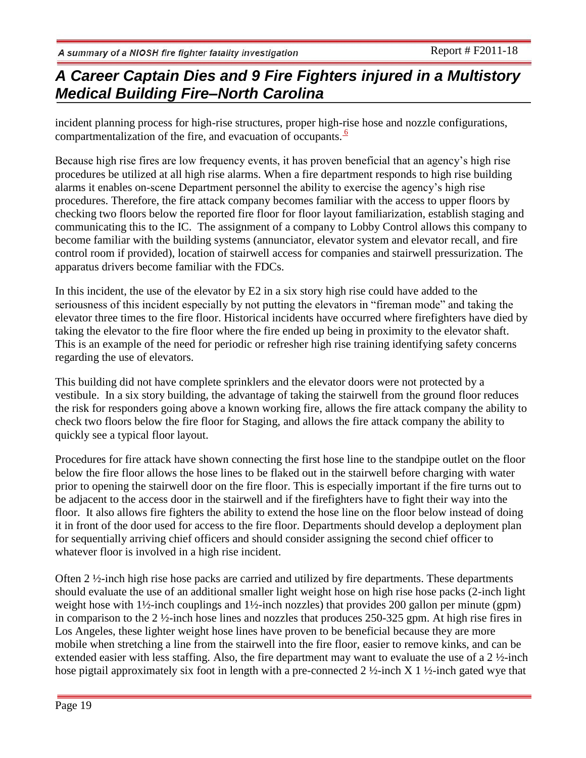incident planning process for high-rise structures, proper high-rise hose and nozzle configurations, compartmentalization of the fire, and evacuation of occupants. $\frac{6}{5}$ 

Because high rise fires are low frequency events, it has proven beneficial that an agency's high rise procedures be utilized at all high rise alarms. When a fire department responds to high rise building alarms it enables on-scene Department personnel the ability to exercise the agency's high rise procedures. Therefore, the fire attack company becomes familiar with the access to upper floors by checking two floors below the reported fire floor for floor layout familiarization, establish staging and communicating this to the IC. The assignment of a company to Lobby Control allows this company to become familiar with the building systems (annunciator, elevator system and elevator recall, and fire control room if provided), location of stairwell access for companies and stairwell pressurization. The apparatus drivers become familiar with the FDCs.

In this incident, the use of the elevator by E2 in a six story high rise could have added to the seriousness of this incident especially by not putting the elevators in "fireman mode" and taking the elevator three times to the fire floor. Historical incidents have occurred where firefighters have died by taking the elevator to the fire floor where the fire ended up being in proximity to the elevator shaft. This is an example of the need for periodic or refresher high rise training identifying safety concerns regarding the use of elevators.

This building did not have complete sprinklers and the elevator doors were not protected by a vestibule. In a six story building, the advantage of taking the stairwell from the ground floor reduces the risk for responders going above a known working fire, allows the fire attack company the ability to check two floors below the fire floor for Staging, and allows the fire attack company the ability to quickly see a typical floor layout.

Procedures for fire attack have shown connecting the first hose line to the standpipe outlet on the floor below the fire floor allows the hose lines to be flaked out in the stairwell before charging with water prior to opening the stairwell door on the fire floor. This is especially important if the fire turns out to be adjacent to the access door in the stairwell and if the firefighters have to fight their way into the floor. It also allows fire fighters the ability to extend the hose line on the floor below instead of doing it in front of the door used for access to the fire floor. Departments should develop a deployment plan for sequentially arriving chief officers and should consider assigning the second chief officer to whatever floor is involved in a high rise incident.

Often 2 ½-inch high rise hose packs are carried and utilized by fire departments. These departments should evaluate the use of an additional smaller light weight hose on high rise hose packs (2-inch light weight hose with 1½-inch couplings and 1½-inch nozzles) that provides 200 gallon per minute (gpm) in comparison to the 2 ½-inch hose lines and nozzles that produces 250-325 gpm. At high rise fires in Los Angeles, these lighter weight hose lines have proven to be beneficial because they are more mobile when stretching a line from the stairwell into the fire floor, easier to remove kinks, and can be extended easier with less staffing. Also, the fire department may want to evaluate the use of a 2 ½-inch hose pigtail approximately six foot in length with a pre-connected 2  $\frac{1}{2}$ -inch X 1  $\frac{1}{2}$ -inch gated wye that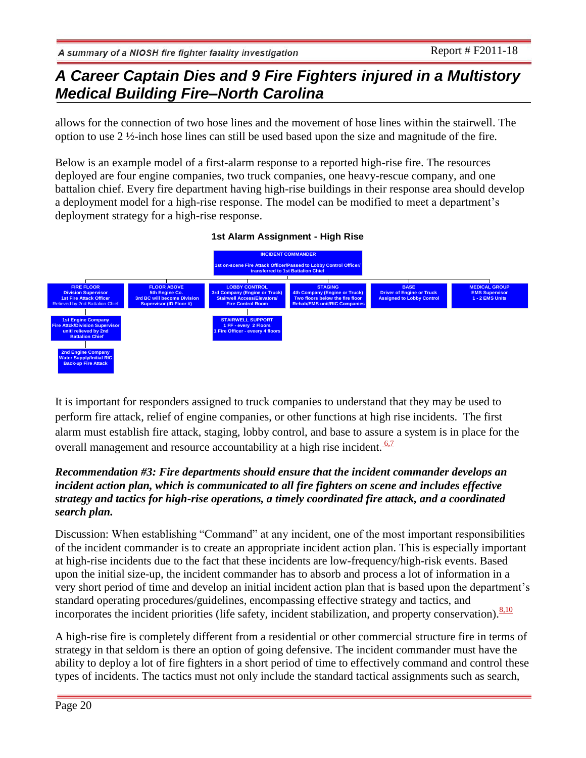allows for the connection of two hose lines and the movement of hose lines within the stairwell. The option to use 2 ½-inch hose lines can still be used based upon the size and magnitude of the fire.

Below is an example model of a first-alarm response to a reported high-rise fire. The resources deployed are four engine companies, two truck companies, one heavy-rescue company, and one battalion chief. Every fire department having high-rise buildings in their response area should develop a deployment model for a high-rise response. The model can be modified to meet a department's deployment strategy for a high-rise response.

#### **1st Alarm Assignment - High Rise**



It is important for responders assigned to truck companies to understand that they may be used to perform fire attack, relief of engine companies, or other functions at high rise incidents. The first alarm must establish fire attack, staging, lobby control, and base to assure a system is in place for the overall management and resource accountability at a high rise incident.  $\frac{6.7}{6.7}$ 

### *Recommendation #3: Fire departments should ensure that the incident commander develops an incident action plan, which is communicated to all fire fighters on scene and includes effective strategy and tactics for high-rise operations, a timely coordinated fire attack, and a coordinated search plan.*

Discussion: When establishing "Command" at any incident, one of the most important responsibilities of the incident commander is to create an appropriate incident action plan. This is especially important at high-rise incidents due to the fact that these incidents are low-frequency/high-risk events. Based upon the initial size-up, the incident commander has to absorb and process a lot of information in a very short period of time and develop an initial incident action plan that is based upon the department's standard operating procedures/guidelines, encompassing effective strategy and tactics, and incorporates the incident priorities (life safety, incident stabilization, and property conservation).  $8,10$ 

A high-rise fire is completely different from a residential or other commercial structure fire in terms of strategy in that seldom is there an option of going defensive. The incident commander must have the ability to deploy a lot of fire fighters in a short period of time to effectively command and control these types of incidents. The tactics must not only include the standard tactical assignments such as search,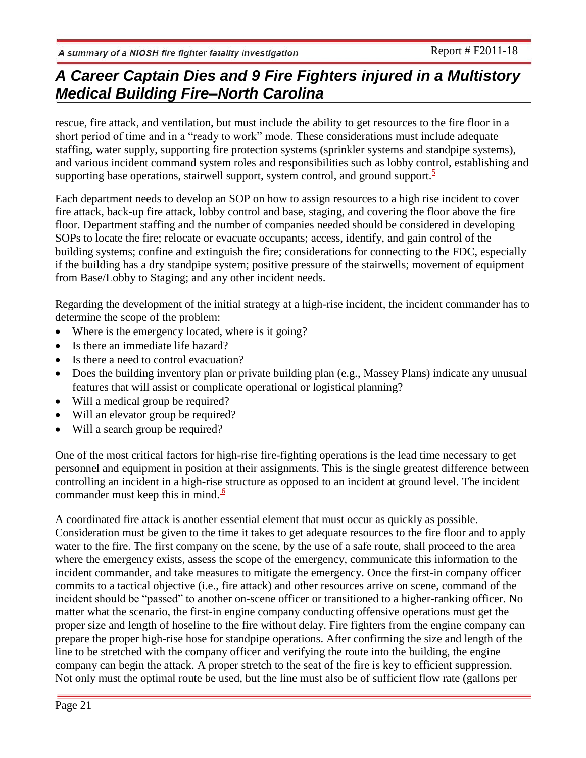rescue, fire attack, and ventilation, but must include the ability to get resources to the fire floor in a short period of time and in a "ready to work" mode. These considerations must include adequate staffing, water supply, supporting fire protection systems (sprinkler systems and standpipe systems), and various incident command system roles and responsibilities such as lobby control, establishing and supporting base operations, stairwell support, system control, and ground support. $\frac{5}{5}$ 

Each department needs to develop an SOP on how to assign resources to a high rise incident to cover fire attack, back-up fire attack, lobby control and base, staging, and covering the floor above the fire floor. Department staffing and the number of companies needed should be considered in developing SOPs to locate the fire; relocate or evacuate occupants; access, identify, and gain control of the building systems; confine and extinguish the fire; considerations for connecting to the FDC, especially if the building has a dry standpipe system; positive pressure of the stairwells; movement of equipment from Base/Lobby to Staging; and any other incident needs.

Regarding the development of the initial strategy at a high-rise incident, the incident commander has to determine the scope of the problem:

- Where is the emergency located, where is it going?
- Is there an immediate life hazard?
- Is there a need to control evacuation?
- Does the building inventory plan or private building plan (e.g., Massey Plans) indicate any unusual features that will assist or complicate operational or logistical planning?
- Will a medical group be required?
- Will an elevator group be required?
- Will a search group be required?

One of the most critical factors for high-rise fire-fighting operations is the lead time necessary to get personnel and equipment in position at their assignments. This is the single greatest difference between controlling an incident in a high-rise structure as opposed to an incident at ground level. The incident commander must keep this in mind. $\frac{6}{5}$ 

A coordinated fire attack is another essential element that must occur as quickly as possible. Consideration must be given to the time it takes to get adequate resources to the fire floor and to apply water to the fire. The first company on the scene, by the use of a safe route, shall proceed to the area where the emergency exists, assess the scope of the emergency, communicate this information to the incident commander, and take measures to mitigate the emergency. Once the first-in company officer commits to a tactical objective (i.e., fire attack) and other resources arrive on scene, command of the incident should be "passed" to another on-scene officer or transitioned to a higher-ranking officer. No matter what the scenario, the first-in engine company conducting offensive operations must get the proper size and length of hoseline to the fire without delay. Fire fighters from the engine company can prepare the proper high-rise hose for standpipe operations. After confirming the size and length of the line to be stretched with the company officer and verifying the route into the building, the engine company can begin the attack. A proper stretch to the seat of the fire is key to efficient suppression. Not only must the optimal route be used, but the line must also be of sufficient flow rate (gallons per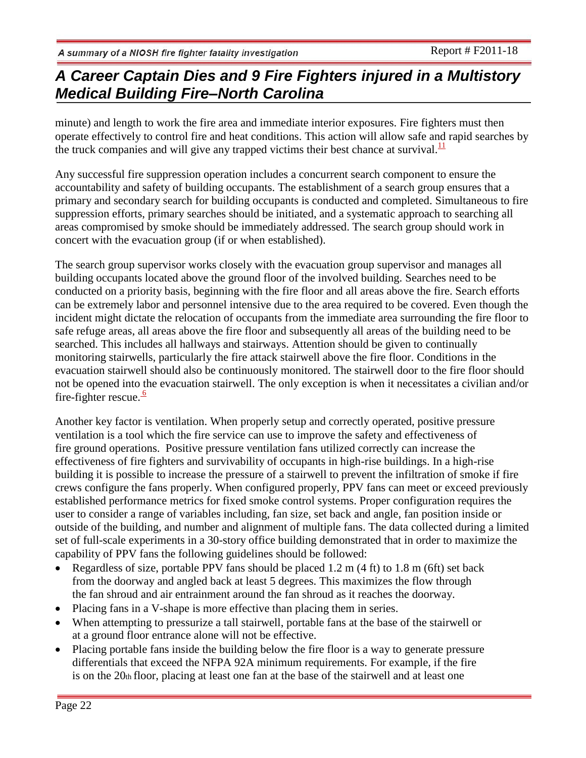minute) and length to work the fire area and immediate interior exposures. Fire fighters must then operate effectively to control fire and heat conditions. This action will allow safe and rapid searches by the truck companies and will give any trapped victims their best chance at survival. $\frac{11}{11}$ 

Any successful fire suppression operation includes a concurrent search component to ensure the accountability and safety of building occupants. The establishment of a search group ensures that a primary and secondary search for building occupants is conducted and completed. Simultaneous to fire suppression efforts, primary searches should be initiated, and a systematic approach to searching all areas compromised by smoke should be immediately addressed. The search group should work in concert with the evacuation group (if or when established).

The search group supervisor works closely with the evacuation group supervisor and manages all building occupants located above the ground floor of the involved building. Searches need to be conducted on a priority basis, beginning with the fire floor and all areas above the fire. Search efforts can be extremely labor and personnel intensive due to the area required to be covered. Even though the incident might dictate the relocation of occupants from the immediate area surrounding the fire floor to safe refuge areas, all areas above the fire floor and subsequently all areas of the building need to be searched. This includes all hallways and stairways. Attention should be given to continually monitoring stairwells, particularly the fire attack stairwell above the fire floor. Conditions in the evacuation stairwell should also be continuously monitored. The stairwell door to the fire floor should not be opened into the evacuation stairwell. The only exception is when it necessitates a civilian and/or fire-fighter rescue. $\frac{6}{5}$ 

Another key factor is ventilation. When properly setup and correctly operated, positive pressure ventilation is a tool which the fire service can use to improve the safety and effectiveness of fire ground operations. Positive pressure ventilation fans utilized correctly can increase the effectiveness of fire fighters and survivability of occupants in high-rise buildings. In a high-rise building it is possible to increase the pressure of a stairwell to prevent the infiltration of smoke if fire crews configure the fans properly. When configured properly, PPV fans can meet or exceed previously established performance metrics for fixed smoke control systems. Proper configuration requires the user to consider a range of variables including, fan size, set back and angle, fan position inside or outside of the building, and number and alignment of multiple fans. The data collected during a limited set of full-scale experiments in a 30-story office building demonstrated that in order to maximize the capability of PPV fans the following guidelines should be followed:

- Regardless of size, portable PPV fans should be placed 1.2 m (4 ft) to 1.8 m (6ft) set back from the doorway and angled back at least 5 degrees. This maximizes the flow through the fan shroud and air entrainment around the fan shroud as it reaches the doorway.
- Placing fans in a V-shape is more effective than placing them in series.
- When attempting to pressurize a tall stairwell, portable fans at the base of the stairwell or at a ground floor entrance alone will not be effective.
- Placing portable fans inside the building below the fire floor is a way to generate pressure differentials that exceed the NFPA 92A minimum requirements. For example, if the fire is on the  $20<sub>th</sub>$  floor, placing at least one fan at the base of the stairwell and at least one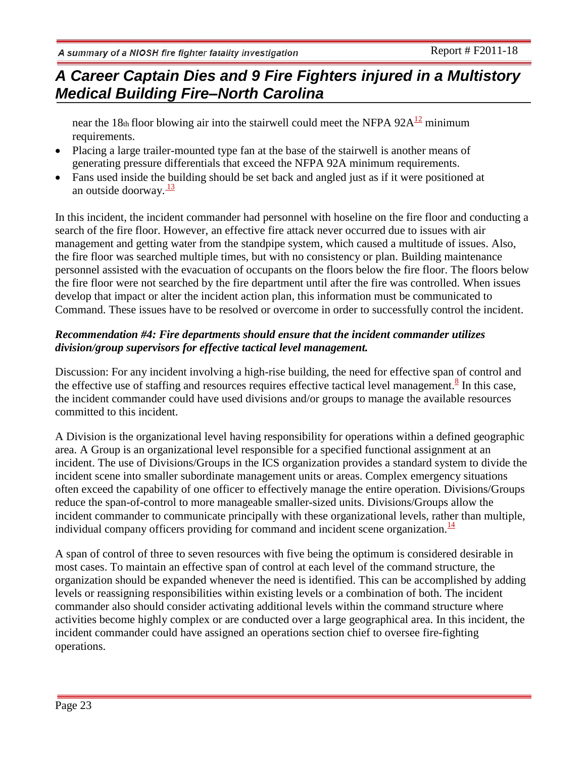# *A Career Captain Dies and 9 Fire Fighters injured in a Multistory Medical Building Fire–North Carolina*

near the 18th floor blowing air into the stairwell could meet the NFPA  $92A^{12}$  minimum requirements.

- Placing a large trailer-mounted type fan at the base of the stairwell is another means of generating pressure differentials that exceed the NFPA 92A minimum requirements.
- Fans used inside the building should be set back and angled just as if it were positioned at an outside doorway. $\frac{13}{2}$

In this incident, the incident commander had personnel with hoseline on the fire floor and conducting a search of the fire floor. However, an effective fire attack never occurred due to issues with air management and getting water from the standpipe system, which caused a multitude of issues. Also, the fire floor was searched multiple times, but with no consistency or plan. Building maintenance personnel assisted with the evacuation of occupants on the floors below the fire floor. The floors below the fire floor were not searched by the fire department until after the fire was controlled. When issues develop that impact or alter the incident action plan, this information must be communicated to Command. These issues have to be resolved or overcome in order to successfully control the incident.

### *Recommendation #4: Fire departments should ensure that the incident commander utilizes division/group supervisors for effective tactical level management.*

Discussion: For any incident involving a high-rise building, the need for effective span of control and the effective use of staffing and resources requires effective tactical level management.<sup>8</sup> In this case, the incident commander could have used divisions and/or groups to manage the available resources committed to this incident.

A Division is the organizational level having responsibility for operations within a defined geographic area. A Group is an organizational level responsible for a specified functional assignment at an incident. The use of Divisions/Groups in the ICS organization provides a standard system to divide the incident scene into smaller subordinate management units or areas. Complex emergency situations often exceed the capability of one officer to effectively manage the entire operation. Divisions/Groups reduce the span-of-control to more manageable smaller-sized units. Divisions/Groups allow the incident commander to communicate principally with these organizational levels, rather than multiple, individual company officers providing for command and incident scene organization. $\frac{14}{12}$ 

A span of control of three to seven resources with five being the optimum is considered desirable in most cases. To maintain an effective span of control at each level of the command structure, the organization should be expanded whenever the need is identified. This can be accomplished by adding levels or reassigning responsibilities within existing levels or a combination of both. The incident commander also should consider activating additional levels within the command structure where activities become highly complex or are conducted over a large geographical area. In this incident, the incident commander could have assigned an operations section chief to oversee fire-fighting operations.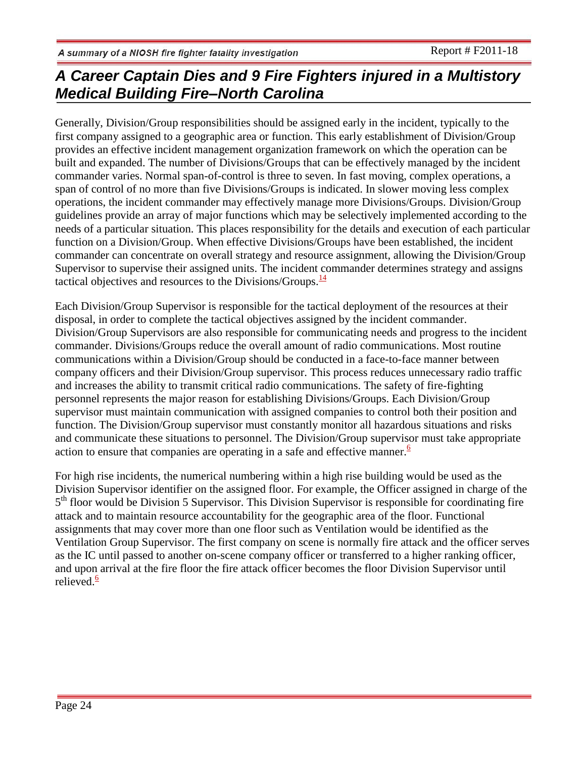Generally, Division/Group responsibilities should be assigned early in the incident, typically to the first company assigned to a geographic area or function. This early establishment of Division/Group provides an effective incident management organization framework on which the operation can be built and expanded. The number of Divisions/Groups that can be effectively managed by the incident commander varies. Normal span-of-control is three to seven. In fast moving, complex operations, a span of control of no more than five Divisions/Groups is indicated. In slower moving less complex operations, the incident commander may effectively manage more Divisions/Groups. Division/Group guidelines provide an array of major functions which may be selectively implemented according to the needs of a particular situation. This places responsibility for the details and execution of each particular function on a Division/Group. When effective Divisions/Groups have been established, the incident commander can concentrate on overall strategy and resource assignment, allowing the Division/Group Supervisor to supervise their assigned units. The incident commander determines strategy and assigns tactical objectives and resources to the Divisions/Groups. $\frac{14}{14}$ 

Each Division/Group Supervisor is responsible for the tactical deployment of the resources at their disposal, in order to complete the tactical objectives assigned by the incident commander. Division/Group Supervisors are also responsible for communicating needs and progress to the incident commander. Divisions/Groups reduce the overall amount of radio communications. Most routine communications within a Division/Group should be conducted in a face-to-face manner between company officers and their Division/Group supervisor. This process reduces unnecessary radio traffic and increases the ability to transmit critical radio communications. The safety of fire-fighting personnel represents the major reason for establishing Divisions/Groups. Each Division/Group supervisor must maintain communication with assigned companies to control both their position and function. The Division/Group supervisor must constantly monitor all hazardous situations and risks and communicate these situations to personnel. The Division/Group supervisor must take appropriate action to ensure that companies are operating in a safe and effective manner. $6$ 

For high rise incidents, the numerical numbering within a high rise building would be used as the Division Supervisor identifier on the assigned floor. For example, the Officer assigned in charge of the 5<sup>th</sup> floor would be Division 5 Supervisor. This Division Supervisor is responsible for coordinating fire attack and to maintain resource accountability for the geographic area of the floor. Functional assignments that may cover more than one floor such as Ventilation would be identified as the Ventilation Group Supervisor. The first company on scene is normally fire attack and the officer serves as the IC until passed to another on-scene company officer or transferred to a higher ranking officer, and upon arrival at the fire floor the fire attack officer becomes the floor Division Supervisor until relieved. $6$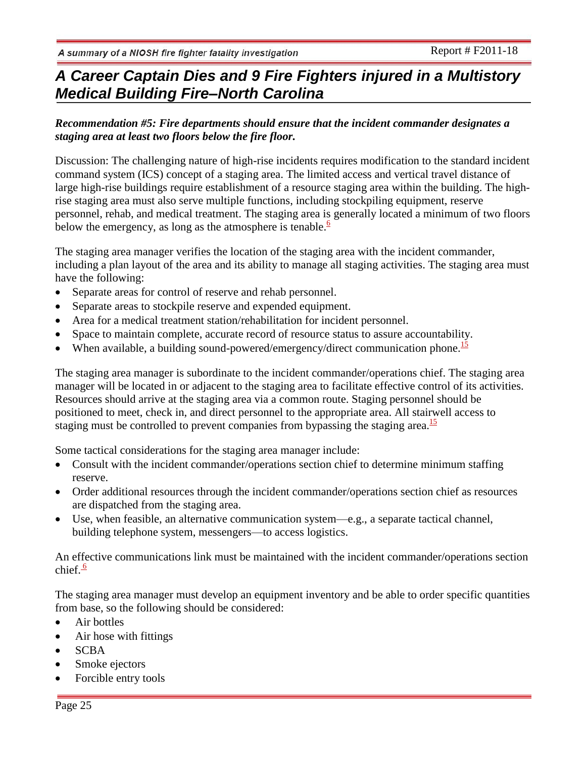### *Recommendation #5: Fire departments should ensure that the incident commander designates a staging area at least two floors below the fire floor.*

Discussion: The challenging nature of high-rise incidents requires modification to the standard incident command system (ICS) concept of a staging area. The limited access and vertical travel distance of large high-rise buildings require establishment of a resource staging area within the building. The highrise staging area must also serve multiple functions, including stockpiling equipment, reserve personnel, rehab, and medical treatment. The staging area is generally located a minimum of two floors below the emergency, as long as the atmosphere is tenable. $\frac{6}{5}$ 

The staging area manager verifies the location of the staging area with the incident commander, including a plan layout of the area and its ability to manage all staging activities. The staging area must have the following:

- Separate areas for control of reserve and rehab personnel.
- Separate areas to stockpile reserve and expended equipment.
- Area for a medical treatment station/rehabilitation for incident personnel.
- Space to maintain complete, accurate record of resource status to assure accountability.
- When available, a building sound-powered/emergency/direct communication phone.<sup>15</sup>

The staging area manager is subordinate to the incident commander/operations chief. The staging area manager will be located in or adjacent to the staging area to facilitate effective control of its activities. Resources should arrive at the staging area via a common route. Staging personnel should be positioned to meet, check in, and direct personnel to the appropriate area. All stairwell access to staging must be controlled to prevent companies from bypassing the staging area.<sup>15</sup>

Some tactical considerations for the staging area manager include:

- Consult with the incident commander/operations section chief to determine minimum staffing reserve.
- Order additional resources through the incident commander/operations section chief as resources are dispatched from the staging area.
- Use, when feasible, an alternative communication system—e.g., a separate tactical channel, building telephone system, messengers—to access logistics.

An effective communications link must be maintained with the incident commander/operations section chief.<sup>6</sup>

The staging area manager must develop an equipment inventory and be able to order specific quantities from base, so the following should be considered:

- Air bottles
- Air hose with fittings
- SCBA
- Smoke ejectors
- Forcible entry tools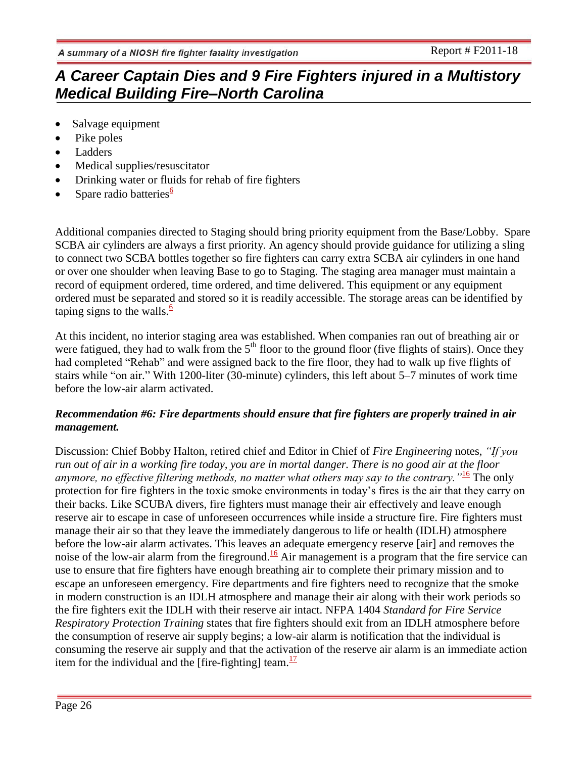- Salvage equipment
- Pike poles
- Ladders
- Medical supplies/resuscitator
- Drinking water or fluids for rehab of fire fighters
- Spare radio batteries $6$

Additional companies directed to Staging should bring priority equipment from the Base/Lobby. Spare SCBA air cylinders are always a first priority. An agency should provide guidance for utilizing a sling to connect two SCBA bottles together so fire fighters can carry extra SCBA air cylinders in one hand or over one shoulder when leaving Base to go to Staging. The staging area manager must maintain a record of equipment ordered, time ordered, and time delivered. This equipment or any equipment ordered must be separated and stored so it is readily accessible. The storage areas can be identified by taping signs to the walls. $\frac{6}{5}$ 

At this incident, no interior staging area was established. When companies ran out of breathing air or were fatigued, they had to walk from the  $5<sup>th</sup>$  floor to the ground floor (five flights of stairs). Once they had completed "Rehab" and were assigned back to the fire floor, they had to walk up five flights of stairs while "on air." With 1200-liter (30-minute) cylinders, this left about 5–7 minutes of work time before the low-air alarm activated.

### *Recommendation #6: Fire departments should ensure that fire fighters are properly trained in air management.*

Discussion: Chief Bobby Halton, retired chief and Editor in Chief of *Fire Engineering* notes, *"If you run out of air in a working fire today, you are in mortal danger. There is no good air at the floor anymore, no effective filtering methods, no matter what others may say to the contrary."*<sup>16</sup> The only protection for fire fighters in the toxic smoke environments in today's fires is the air that they carry on their backs. Like SCUBA divers, fire fighters must manage their air effectively and leave enough reserve air to escape in case of unforeseen occurrences while inside a structure fire. Fire fighters must manage their air so that they leave the immediately dangerous to life or health (IDLH) atmosphere before the low-air alarm activates. This leaves an adequate emergency reserve [air] and removes the noise of the low-air alarm from the fireground.<sup>16</sup> Air management is a program that the fire service can use to ensure that fire fighters have enough breathing air to complete their primary mission and to escape an unforeseen emergency. Fire departments and fire fighters need to recognize that the smoke in modern construction is an IDLH atmosphere and manage their air along with their work periods so the fire fighters exit the IDLH with their reserve air intact. NFPA 1404 *Standard for Fire Service Respiratory Protection Training* states that fire fighters should exit from an IDLH atmosphere before the consumption of reserve air supply begins; a low-air alarm is notification that the individual is consuming the reserve air supply and that the activation of the reserve air alarm is an immediate action item for the individual and the [fire-fighting] team. $\frac{17}{17}$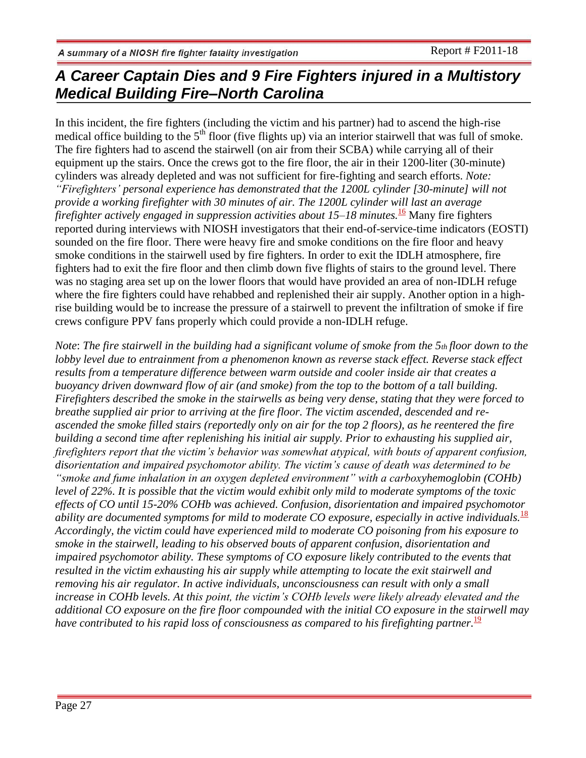In this incident, the fire fighters (including the victim and his partner) had to ascend the high-rise medical office building to the  $5<sup>th</sup>$  floor (five flights up) via an interior stairwell that was full of smoke. The fire fighters had to ascend the stairwell (on air from their SCBA) while carrying all of their equipment up the stairs. Once the crews got to the fire floor, the air in their 1200-liter (30-minute) cylinders was already depleted and was not sufficient for fire-fighting and search efforts. *Note: "Firefighters' personal experience has demonstrated that the 1200L cylinder [30-minute] will not provide a working firefighter with 30 minutes of air. The 1200L cylinder will last an average firefighter actively engaged in suppression activities about 15–18 minutes.*<sup>16</sup> Many fire fighters reported during interviews with NIOSH investigators that their end-of-service-time indicators (EOSTI) sounded on the fire floor. There were heavy fire and smoke conditions on the fire floor and heavy smoke conditions in the stairwell used by fire fighters. In order to exit the IDLH atmosphere, fire fighters had to exit the fire floor and then climb down five flights of stairs to the ground level. There was no staging area set up on the lower floors that would have provided an area of non-IDLH refuge where the fire fighters could have rehabbed and replenished their air supply. Another option in a highrise building would be to increase the pressure of a stairwell to prevent the infiltration of smoke if fire crews configure PPV fans properly which could provide a non-IDLH refuge.

*Note*: *The fire stairwell in the building had a significant volume of smoke from the 5th floor down to the lobby level due to entrainment from a phenomenon known as reverse stack effect. Reverse stack effect results from a temperature difference between warm outside and cooler inside air that creates a buoyancy driven downward flow of air (and smoke) from the top to the bottom of a tall building. Firefighters described the smoke in the stairwells as being very dense, stating that they were forced to breathe supplied air prior to arriving at the fire floor. The victim ascended, descended and reascended the smoke filled stairs (reportedly only on air for the top 2 floors), as he reentered the fire building a second time after replenishing his initial air supply. Prior to exhausting his supplied air, firefighters report that the victim's behavior was somewhat atypical, with bouts of apparent confusion, disorientation and impaired psychomotor ability. The victim's cause of death was determined to be "smoke and fume inhalation in an oxygen depleted environment" with a carboxyhemoglobin (COHb) level of 22%. It is possible that the victim would exhibit only mild to moderate symptoms of the toxic effects of CO until 15-20% COHb was achieved. Confusion, disorientation and impaired psychomotor ability are documented symptoms for mild to moderate CO exposure, especially in active individuals.*<sup>18</sup> *Accordingly, the victim could have experienced mild to moderate CO poisoning from his exposure to smoke in the stairwell, leading to his observed bouts of apparent confusion, disorientation and impaired psychomotor ability. These symptoms of CO exposure likely contributed to the events that resulted in the victim exhausting his air supply while attempting to locate the exit stairwell and removing his air regulator. In active individuals, unconsciousness can result with only a small increase in COHb levels. At this point, the victim's COHb levels were likely already elevated and the additional CO exposure on the fire floor compounded with the initial CO exposure in the stairwell may have contributed to his rapid loss of consciousness as compared to his firefighting partner.* 19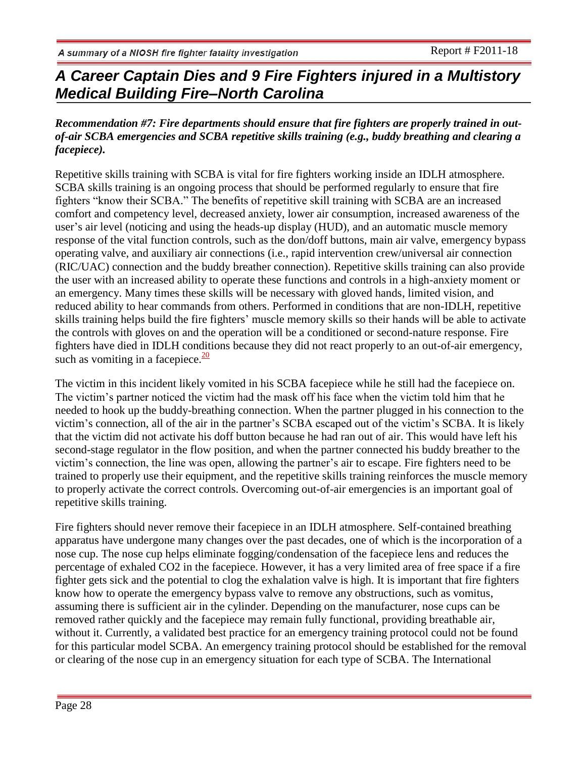### *Recommendation #7: Fire departments should ensure that fire fighters are properly trained in outof-air SCBA emergencies and SCBA repetitive skills training (e.g., buddy breathing and clearing a facepiece).*

Repetitive skills training with SCBA is vital for fire fighters working inside an IDLH atmosphere. SCBA skills training is an ongoing process that should be performed regularly to ensure that fire fighters "know their SCBA." The benefits of repetitive skill training with SCBA are an increased comfort and competency level, decreased anxiety, lower air consumption, increased awareness of the user's air level (noticing and using the heads-up display (HUD), and an automatic muscle memory response of the vital function controls, such as the don/doff buttons, main air valve, emergency bypass operating valve, and auxiliary air connections (i.e., rapid intervention crew/universal air connection (RIC/UAC) connection and the buddy breather connection). Repetitive skills training can also provide the user with an increased ability to operate these functions and controls in a high-anxiety moment or an emergency. Many times these skills will be necessary with gloved hands, limited vision, and reduced ability to hear commands from others. Performed in conditions that are non-IDLH, repetitive skills training helps build the fire fighters' muscle memory skills so their hands will be able to activate the controls with gloves on and the operation will be a conditioned or second-nature response. Fire fighters have died in IDLH conditions because they did not react properly to an out-of-air emergency, such as vomiting in a facepiece. $\frac{20}{10}$ 

The victim in this incident likely vomited in his SCBA facepiece while he still had the facepiece on. The victim's partner noticed the victim had the mask off his face when the victim told him that he needed to hook up the buddy-breathing connection. When the partner plugged in his connection to the victim's connection, all of the air in the partner's SCBA escaped out of the victim's SCBA. It is likely that the victim did not activate his doff button because he had ran out of air. This would have left his second-stage regulator in the flow position, and when the partner connected his buddy breather to the victim's connection, the line was open, allowing the partner's air to escape. Fire fighters need to be trained to properly use their equipment, and the repetitive skills training reinforces the muscle memory to properly activate the correct controls. Overcoming out-of-air emergencies is an important goal of repetitive skills training.

Fire fighters should never remove their facepiece in an IDLH atmosphere. Self-contained breathing apparatus have undergone many changes over the past decades, one of which is the incorporation of a nose cup. The nose cup helps eliminate fogging/condensation of the facepiece lens and reduces the percentage of exhaled CO2 in the facepiece. However, it has a very limited area of free space if a fire fighter gets sick and the potential to clog the exhalation valve is high. It is important that fire fighters know how to operate the emergency bypass valve to remove any obstructions, such as vomitus, assuming there is sufficient air in the cylinder. Depending on the manufacturer, nose cups can be removed rather quickly and the facepiece may remain fully functional, providing breathable air, without it. Currently, a validated best practice for an emergency training protocol could not be found for this particular model SCBA. An emergency training protocol should be established for the removal or clearing of the nose cup in an emergency situation for each type of SCBA. The International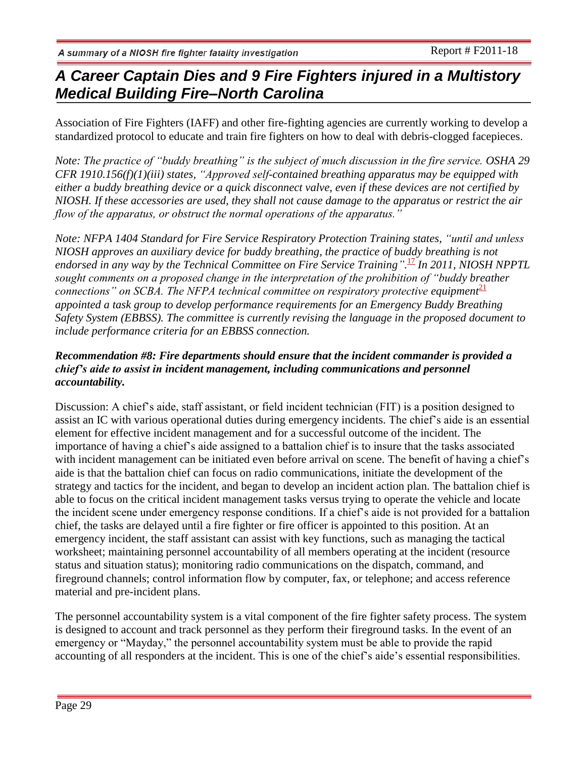Association of Fire Fighters (IAFF) and other fire-fighting agencies are currently working to develop a standardized protocol to educate and train fire fighters on how to deal with debris-clogged facepieces.

*Note: The practice of "buddy breathing" is the subject of much discussion in the fire service. OSHA 29 CFR 1910.156(f)(1)(iii) states, "Approved self-contained breathing apparatus may be equipped with either a buddy breathing device or a quick disconnect valve, even if these devices are not certified by NIOSH. If these accessories are used, they shall not cause damage to the apparatus or restrict the air flow of the apparatus, or obstruct the normal operations of the apparatus."*

*Note: NFPA 1404 Standard for Fire Service Respiratory Protection Training states, "until and unless NIOSH approves an auxiliary device for buddy breathing, the practice of buddy breathing is not*  endorsed in any way by the Technical Committee on Fire Service Training".<sup>17</sup> In 2011, NIOSH NPPTL *sought comments on a proposed change in the interpretation of the prohibition of "buddy breather connections" on SCBA. The NFPA technical committee on respiratory protective equipment*<sup>21</sup> *appointed a task group to develop performance requirements for an Emergency Buddy Breathing Safety System (EBBSS). The committee is currently revising the language in the proposed document to include performance criteria for an EBBSS connection.*

### *Recommendation #8: Fire departments should ensure that the incident commander is provided a chief's aide to assist in incident management, including communications and personnel accountability.*

Discussion: A chief's aide, staff assistant, or field incident technician (FIT) is a position designed to assist an IC with various operational duties during emergency incidents. The chief's aide is an essential element for effective incident management and for a successful outcome of the incident. The importance of having a chief's aide assigned to a battalion chief is to insure that the tasks associated with incident management can be initiated even before arrival on scene. The benefit of having a chief's aide is that the battalion chief can focus on radio communications, initiate the development of the strategy and tactics for the incident, and began to develop an incident action plan. The battalion chief is able to focus on the critical incident management tasks versus trying to operate the vehicle and locate the incident scene under emergency response conditions. If a chief's aide is not provided for a battalion chief, the tasks are delayed until a fire fighter or fire officer is appointed to this position. At an emergency incident, the staff assistant can assist with key functions, such as managing the tactical worksheet; maintaining personnel accountability of all members operating at the incident (resource status and situation status); monitoring radio communications on the dispatch, command, and fireground channels; control information flow by computer, fax, or telephone; and access reference material and pre-incident plans.

The personnel accountability system is a vital component of the fire fighter safety process. The system is designed to account and track personnel as they perform their fireground tasks. In the event of an emergency or "Mayday," the personnel accountability system must be able to provide the rapid accounting of all responders at the incident. This is one of the chief's aide's essential responsibilities.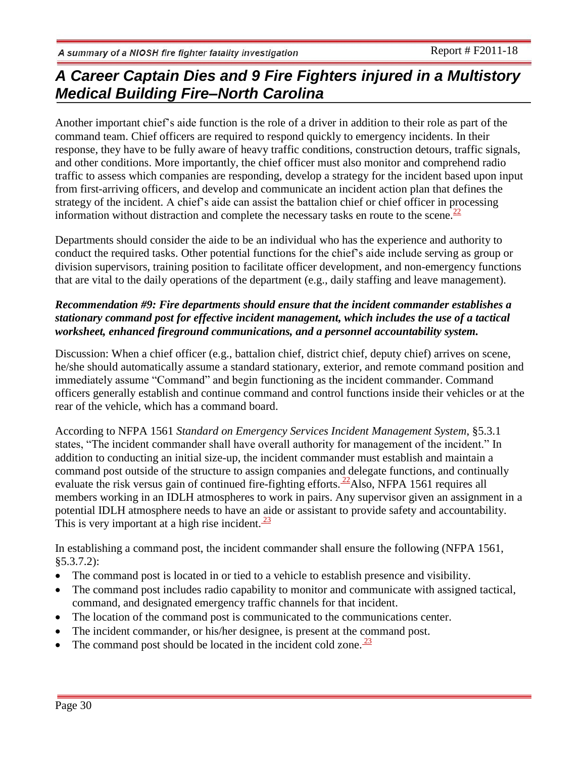Another important chief's aide function is the role of a driver in addition to their role as part of the command team. Chief officers are required to respond quickly to emergency incidents. In their response, they have to be fully aware of heavy traffic conditions, construction detours, traffic signals, and other conditions. More importantly, the chief officer must also monitor and comprehend radio traffic to assess which companies are responding, develop a strategy for the incident based upon input from first-arriving officers, and develop and communicate an incident action plan that defines the strategy of the incident. A chief's aide can assist the battalion chief or chief officer in processing information without distraction and complete the necessary tasks en route to the scene.<sup>22</sup>

Departments should consider the aide to be an individual who has the experience and authority to conduct the required tasks. Other potential functions for the chief's aide include serving as group or division supervisors, training position to facilitate officer development, and non-emergency functions that are vital to the daily operations of the department (e.g., daily staffing and leave management).

### *Recommendation #9: Fire departments should ensure that the incident commander establishes a stationary command post for effective incident management, which includes the use of a tactical worksheet, enhanced fireground communications, and a personnel accountability system.*

Discussion: When a chief officer (e.g., battalion chief, district chief, deputy chief) arrives on scene, he/she should automatically assume a standard stationary, exterior, and remote command position and immediately assume "Command" and begin functioning as the incident commander. Command officers generally establish and continue command and control functions inside their vehicles or at the rear of the vehicle, which has a command board.

According to NFPA 1561 *Standard on Emergency Services Incident Management System*, §5.3.1 states, "The incident commander shall have overall authority for management of the incident." In addition to conducting an initial size-up, the incident commander must establish and maintain a command post outside of the structure to assign companies and delegate functions, and continually evaluate the risk versus gain of continued fire-fighting efforts.  $^{22}$ Also, NFPA 1561 requires all members working in an IDLH atmospheres to work in pairs. Any supervisor given an assignment in a potential IDLH atmosphere needs to have an aide or assistant to provide safety and accountability. This is very important at a high rise incident.  $\frac{23}{2}$ 

In establishing a command post, the incident commander shall ensure the following (NFPA 1561,  $§5.3.7.2$ :

- The command post is located in or tied to a vehicle to establish presence and visibility.
- The command post includes radio capability to monitor and communicate with assigned tactical, command, and designated emergency traffic channels for that incident.
- The location of the command post is communicated to the communications center.
- The incident commander, or his/her designee, is present at the command post.
- The command post should be located in the incident cold zone. $\frac{23}{2}$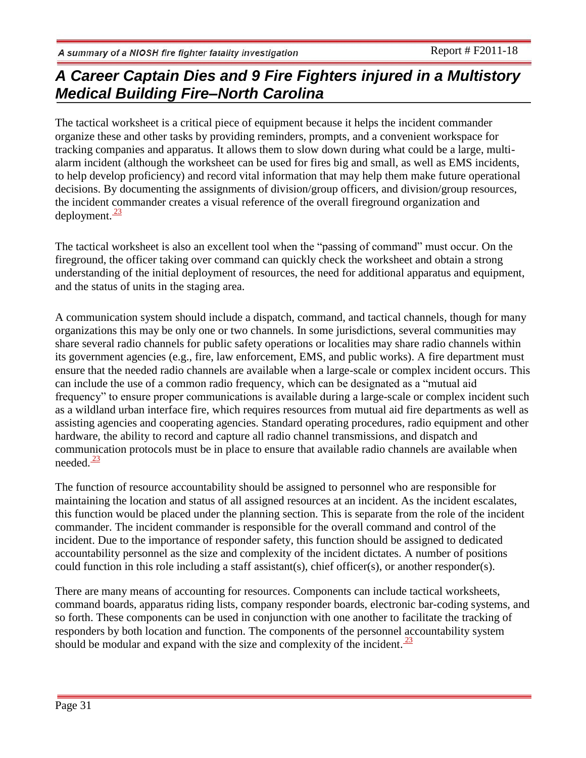The tactical worksheet is a critical piece of equipment because it helps the incident commander organize these and other tasks by providing reminders, prompts, and a convenient workspace for tracking companies and apparatus. It allows them to slow down during what could be a large, multialarm incident (although the worksheet can be used for fires big and small, as well as EMS incidents, to help develop proficiency) and record vital information that may help them make future operational decisions. By documenting the assignments of division/group officers, and division/group resources, the incident commander creates a visual reference of the overall fireground organization and deployment. $\frac{23}{2}$ 

The tactical worksheet is also an excellent tool when the "passing of command" must occur. On the fireground, the officer taking over command can quickly check the worksheet and obtain a strong understanding of the initial deployment of resources, the need for additional apparatus and equipment, and the status of units in the staging area.

A communication system should include a dispatch, command, and tactical channels, though for many organizations this may be only one or two channels. In some jurisdictions, several communities may share several radio channels for public safety operations or localities may share radio channels within its government agencies (e.g., fire, law enforcement, EMS, and public works). A fire department must ensure that the needed radio channels are available when a large-scale or complex incident occurs. This can include the use of a common radio frequency, which can be designated as a "mutual aid frequency" to ensure proper communications is available during a large-scale or complex incident such as a wildland urban interface fire, which requires resources from mutual aid fire departments as well as assisting agencies and cooperating agencies. Standard operating procedures, radio equipment and other hardware, the ability to record and capture all radio channel transmissions, and dispatch and communication protocols must be in place to ensure that available radio channels are available when needed. $\frac{23}{2}$ 

The function of resource accountability should be assigned to personnel who are responsible for maintaining the location and status of all assigned resources at an incident. As the incident escalates, this function would be placed under the planning section. This is separate from the role of the incident commander. The incident commander is responsible for the overall command and control of the incident. Due to the importance of responder safety, this function should be assigned to dedicated accountability personnel as the size and complexity of the incident dictates. A number of positions could function in this role including a staff assistant(s), chief officer(s), or another responder(s).

There are many means of accounting for resources. Components can include tactical worksheets, command boards, apparatus riding lists, company responder boards, electronic bar-coding systems, and so forth. These components can be used in conjunction with one another to facilitate the tracking of responders by both location and function. The components of the personnel accountability system should be modular and expand with the size and complexity of the incident.  $\frac{23}{2}$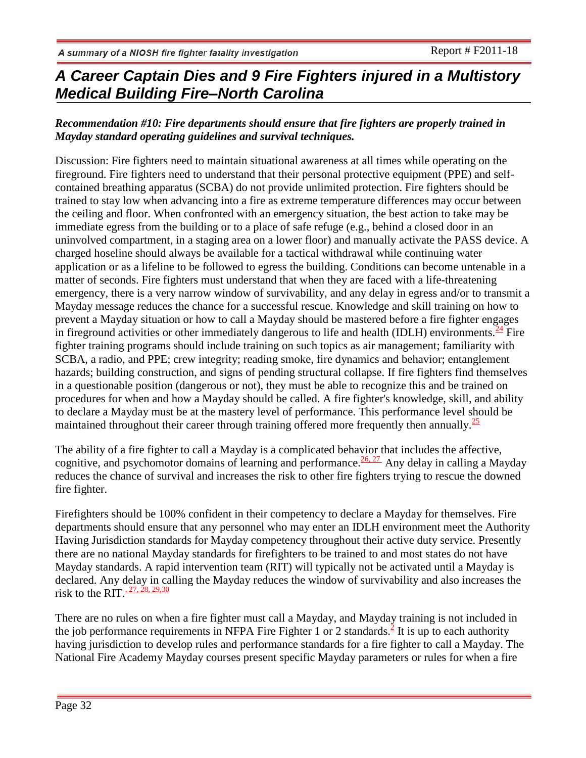### *Recommendation #10: Fire departments should ensure that fire fighters are properly trained in Mayday standard operating guidelines and survival techniques.*

Discussion: Fire fighters need to maintain situational awareness at all times while operating on the fireground. Fire fighters need to understand that their personal protective equipment (PPE) and selfcontained breathing apparatus (SCBA) do not provide unlimited protection. Fire fighters should be trained to stay low when advancing into a fire as extreme temperature differences may occur between the ceiling and floor. When confronted with an emergency situation, the best action to take may be immediate egress from the building or to a place of safe refuge (e.g., behind a closed door in an uninvolved compartment, in a staging area on a lower floor) and manually activate the PASS device. A charged hoseline should always be available for a tactical withdrawal while continuing water application or as a lifeline to be followed to egress the building. Conditions can become untenable in a matter of seconds. Fire fighters must understand that when they are faced with a life-threatening emergency, there is a very narrow window of survivability, and any delay in egress and/or to transmit a Mayday message reduces the chance for a successful rescue. Knowledge and skill training on how to prevent a Mayday situation or how to call a Mayday should be mastered before a fire fighter engages in fireground activities or other immediately dangerous to life and health (IDLH) environments.  $\frac{24}{1}$  Fire fighter training programs should include training on such topics as air management; familiarity with SCBA, a radio, and PPE; crew integrity; reading smoke, fire dynamics and behavior; entanglement hazards; building construction, and signs of pending structural collapse. If fire fighters find themselves in a questionable position (dangerous or not), they must be able to recognize this and be trained on procedures for when and how a Mayday should be called. A fire fighter's knowledge, skill, and ability to declare a Mayday must be at the mastery level of performance. This performance level should be maintained throughout their career through training offered more frequently then annually.<sup>[25](http://www.cdc.gov/niosh/fire/reports/face201018.html#ref17)</sup>

The ability of a fire fighter to call a Mayday is a complicated behavior that includes the affective, cognitive, and psychomotor domains of learning and performance.  $\frac{26,27}{20}$  $\frac{26,27}{20}$  $\frac{26,27}{20}$  Any delay in calling a Mayday reduces the chance of survival and increases the risk to other fire fighters trying to rescue the downed fire fighter.

Firefighters should be 100% confident in their competency to declare a Mayday for themselves. Fire departments should ensure that any personnel who may enter an IDLH environment meet the Authority Having Jurisdiction standards for Mayday competency throughout their active duty service. Presently there are no national Mayday standards for firefighters to be trained to and most states do not have Mayday standards. A rapid intervention team (RIT) will typically not be activated until a Mayday is declared. Any delay in calling the Mayday reduces the window of survivability and also increases the risk to the RIT. $27, 28, 29, 30$ 

There are no rules on when a fire fighter must call a Mayday, and Mayday training is not included in the job performance requirements in NFPA Fire Fighter 1 or 2 standards[.](http://www.cdc.gov/niosh/fire/reports/face201018.html#ref7)  $\frac{2}{3}$  It is up to each authority having jurisdiction to develop rules and performance standards for a fire fighter to call a Mayday. The National Fire Academy Mayday courses present specific Mayday parameters or rules for when a fire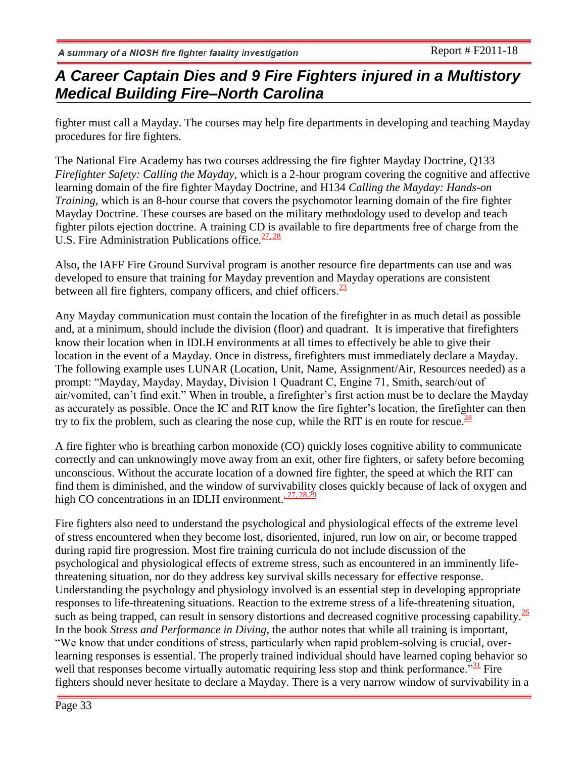fighter must call a Mayday. The courses may help fire departments in developing and teaching Mayday procedures for fire fighters.

The National Fire Academy has two courses addressing the fire fighter Mayday Doctrine, Q133 *Firefighter Safety: Calling the Mayday*, which is a 2-hour program covering the cognitive and affective learning domain of the fire fighter Mayday Doctrine, and H134 *Calling the Mayday: Hands-on Training,* which is an 8-hour course that covers the psychomotor learning domain of the fire fighter Mayday Doctrine. These courses are based on the military methodology used to develop and teach fighter pilots ejection doctrine. A training CD is available to fire departments free of charge from the U.S. Fire Administration Publications office.  $\frac{27,28}{29}$ 

Also, the IAFF Fire Ground Survival program is another resource fire departments can use and was developed to ensure that training for Mayday prevention and Mayday operations are consistent between all fire fighters, company officers, and chief officers. $\frac{23}{2}$  $\frac{23}{2}$  $\frac{23}{2}$ 

Any Mayday communication must contain the location of the firefighter in as much detail as possible and, at a minimum, should include the division (floor) and quadrant. It is imperative that firefighters know their location when in IDLH environments at all times to effectively be able to give their location in the event of a Mayday. Once in distress, firefighters must immediately declare a Mayday. The following example uses LUNAR (Location, Unit, Name, Assignment/Air, Resources needed) as a prompt: "Mayday, Mayday, Mayday, Division 1 Quadrant C, Engine 71, Smith, search/out of air/vomited, can't find exit." When in trouble, a firefighter's first action must be to declare the Mayday as accurately as possible. Once the IC and RIT know the fire fighter's location, the firefighter can then try to fix the problem, such as clearing the nose cup, while the RIT is en route for rescue.<sup>[28](http://www.cdc.gov/niosh/fire/reports/face201013.html#ref7)</sup>

A fire fighter who is breathing carbon monoxide (CO) quickly loses cognitive ability to communicate correctly and can unknowingly move away from an exit, other fire fighters, or safety before becoming unconscious. Without the accurate location of a downed fire fighter, the speed at which the RIT can find them is diminished, and the window of survivability closes quickly because of lack of oxygen and high CO concentrations in an IDLH environment.  $27, 28,29$ 

Fire fighters also need to understand the psychological and physiological effects of the extreme level of stress encountered when they become lost, disoriented, injured, run low on air, or become trapped during rapid fire progression. Most fire training curricula do not include discussion of the psychological and physiological effects of extreme stress, such as encountered in an imminently lifethreatening situation, nor do they address key survival skills necessary for effective response. Understanding the psychology and physiology involved is an essential step in developing appropriate responses to life-threatening situations. Reaction to the extreme stress of a life-threatening situation, such as being trapped, can result in sensory distortions and decreased cognitive processing capability. $\frac{26}{5}$  $\frac{26}{5}$  $\frac{26}{5}$ In the book *Stress and Performance in Diving*, the author notes that while all training is important, "We know that under conditions of stress, particularly when rapid problem-solving is crucial, overlearning responses is essential. The properly trained individual should have learned coping behavior so well that responses become virtually automatic requiring less stop and think performance.<sup> $31$ </sup> Fire fighters should never hesitate to declare a Mayday. There is a very narrow window of survivability in a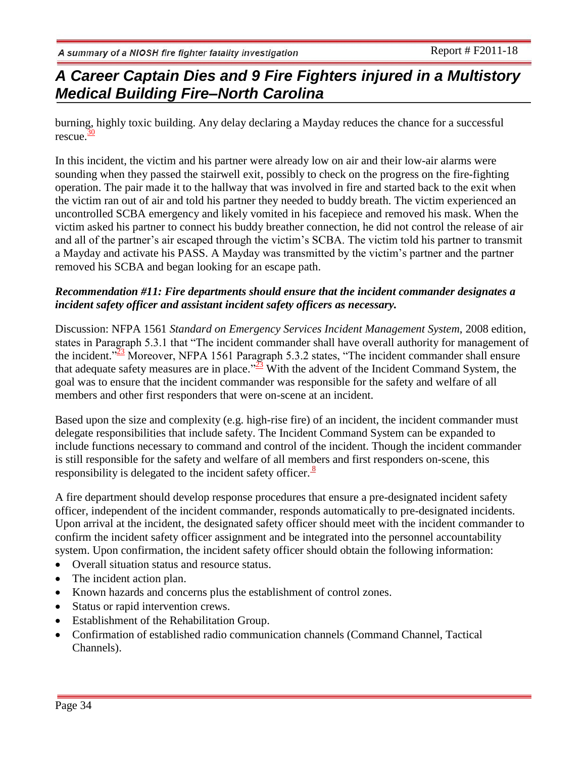# *A Career Captain Dies and 9 Fire Fighters injured in a Multistory Medical Building Fire–North Carolina*

burning, highly toxic building. Any delay declaring a Mayday reduces the chance for a successful rescue. $\frac{30}{2}$  $\frac{30}{2}$  $\frac{30}{2}$ 

In this incident, the victim and his partner were already low on air and their low-air alarms were sounding when they passed the stairwell exit, possibly to check on the progress on the fire-fighting operation. The pair made it to the hallway that was involved in fire and started back to the exit when the victim ran out of air and told his partner they needed to buddy breath. The victim experienced an uncontrolled SCBA emergency and likely vomited in his facepiece and removed his mask. When the victim asked his partner to connect his buddy breather connection, he did not control the release of air and all of the partner's air escaped through the victim's SCBA. The victim told his partner to transmit a Mayday and activate his PASS. A Mayday was transmitted by the victim's partner and the partner removed his SCBA and began looking for an escape path.

### *Recommendation #11: Fire departments should ensure that the incident commander designates a incident safety officer and assistant incident safety officers as necessary.*

Discussion: NFPA 1561 *Standard on Emergency Services Incident Management System*, 2008 edition, states in Paragraph 5.3.1 that "The incident commander shall have overall authority for management of the incident.<sup> $\frac{32}{23}$  $\frac{32}{23}$  $\frac{32}{23}$ </sup> Moreover, NFPA 1561 Paragraph 5.3.2 states, "The incident commander shall ensure that adequate safety measures are in place." $\frac{3}{2}$  With the advent of the Incident Command System, the goal was to ensure that the incident commander was responsible for the safety and welfare of all members and other first responders that were on-scene at an incident.

Based upon the size and complexity (e.g. high-rise fire) of an incident, the incident commander must delegate responsibilities that include safety. The Incident Command System can be expanded to include functions necessary to command and control of the incident. Though the incident commander is still responsible for the safety and welfare of all members and first responders on-scene, this responsibility is delegated to the incident safety officer. $\frac{8}{3}$ 

A fire department should develop response procedures that ensure a pre-designated incident safety officer, independent of the incident commander, responds automatically to pre-designated incidents. Upon arrival at the incident, the designated safety officer should meet with the incident commander to confirm the incident safety officer assignment and be integrated into the personnel accountability system. Upon confirmation, the incident safety officer should obtain the following information:

- Overall situation status and resource status.
- The incident action plan.
- Known hazards and concerns plus the establishment of control zones.
- Status or rapid intervention crews.
- Establishment of the Rehabilitation Group.
- Confirmation of established radio communication channels (Command Channel, Tactical Channels).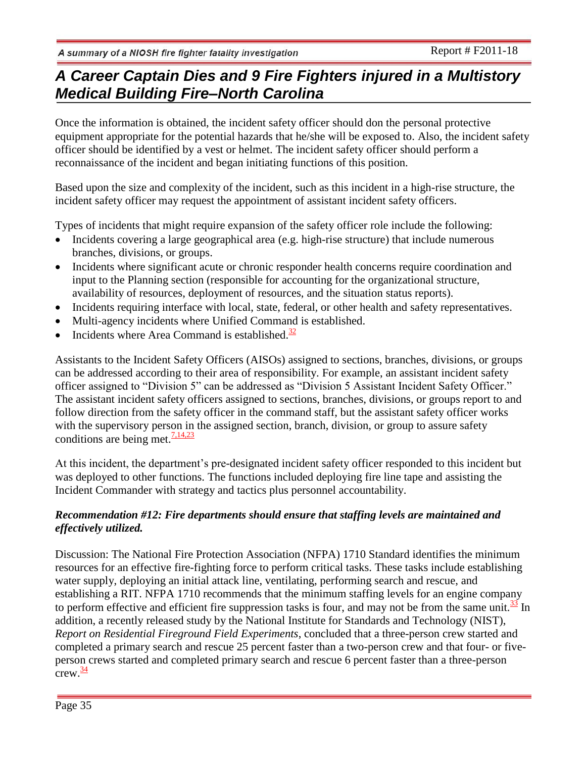Once the information is obtained, the incident safety officer should don the personal protective equipment appropriate for the potential hazards that he/she will be exposed to. Also, the incident safety officer should be identified by a vest or helmet. The incident safety officer should perform a reconnaissance of the incident and began initiating functions of this position.

Based upon the size and complexity of the incident, such as this incident in a high-rise structure, the incident safety officer may request the appointment of assistant incident safety officers.

Types of incidents that might require expansion of the safety officer role include the following:

- Incidents covering a large geographical area (e.g. high-rise structure) that include numerous branches, divisions, or groups.
- Incidents where significant acute or chronic responder health concerns require coordination and input to the Planning section (responsible for accounting for the organizational structure, availability of resources, deployment of resources, and the situation status reports).
- Incidents requiring interface with local, state, federal, or other health and safety representatives.
- Multi-agency incidents where Unified Command is established.
- Incidents where Area Command is established. $\frac{32}{2}$  $\frac{32}{2}$  $\frac{32}{2}$

Assistants to the Incident Safety Officers (AISOs) assigned to sections, branches, divisions, or groups can be addressed according to their area of responsibility. For example, an assistant incident safety officer assigned to "Division 5" can be addressed as "Division 5 Assistant Incident Safety Officer." The assistant incident safety officers assigned to sections, branches, divisions, or groups report to and follow direction from the safety officer in the command staff, but the assistant safety officer works with the supervisory person in the assigned section, branch, division, or group to assure safety conditions are being met. $\frac{7,14,23}{ }$  $\frac{7,14,23}{ }$  $\frac{7,14,23}{ }$ 

At this incident, the department's pre-designated incident safety officer responded to this incident but was deployed to other functions. The functions included deploying fire line tape and assisting the Incident Commander with strategy and tactics plus personnel accountability.

### *Recommendation #12: Fire departments should ensure that staffing levels are maintained and effectively utilized.*

Discussion: The National Fire Protection Association (NFPA) 1710 Standard identifies the minimum resources for an effective fire-fighting force to perform critical tasks. These tasks include establishing water supply, deploying an initial attack line, ventilating, performing search and rescue, and establishing a RIT. NFPA 1710 recommends that the minimum staffing levels for an engine company to perform effective and efficient fire suppression tasks is four, and may not be from the same unit.<sup>[33](http://www.cdc.gov/niosh/fire/reports/face201013.html#ref12)</sup> In addition, a recently released study by the National Institute for Standards and Technology (NIST), *Report on Residential Fireground Field Experiments*, concluded that a three-person crew started and completed a primary search and rescue 25 percent faster than a two-person crew and that four- or fiveperson crews started and completed primary search and rescue 6 percent faster than a three-person  $crew.\overline{\overset{34}{}}$  $crew.\overline{\overset{34}{}}$  $crew.\overline{\overset{34}{}}$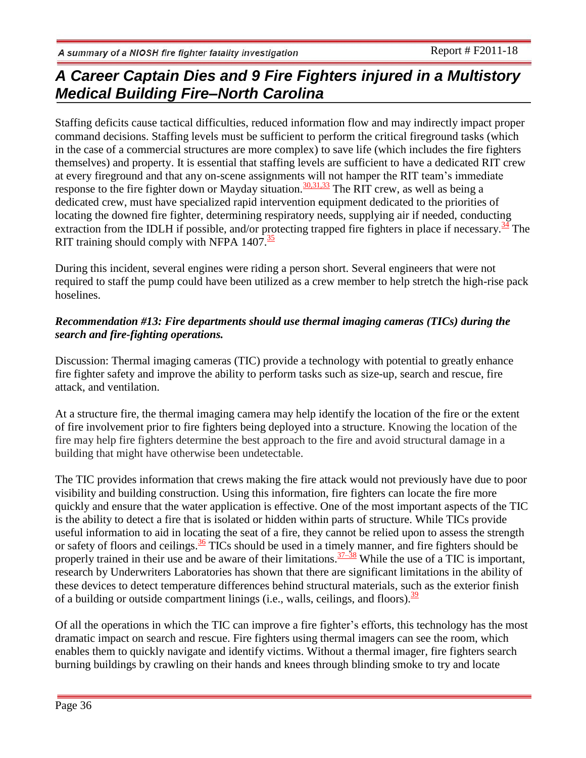Staffing deficits cause tactical difficulties, reduced information flow and may indirectly impact proper command decisions. Staffing levels must be sufficient to perform the critical fireground tasks (which in the case of a commercial structures are more complex) to save life (which includes the fire fighters themselves) and property. It is essential that staffing levels are sufficient to have a dedicated RIT crew at every fireground and that any on-scene assignments will not hamper the RIT team's immediate response to the fire fighter down or Mayday situation.<sup>30,3[1,33](http://www.cdc.gov/niosh/fire/reports/face201013.html#ref9)</sup> The RIT crew, as well as being a dedicated crew, must have specialized rapid intervention equipment dedicated to the priorities of locating the downed fire fighter, determining respiratory needs, supplying air if needed, conducting extraction from the IDLH if possible, and/or protecting trapped fire fighters in place if necessary.  $\frac{34}{3}$  $\frac{34}{3}$  $\frac{34}{3}$  The RIT training should comply with NFPA  $1407.\overline{35}$  $1407.\overline{35}$  $1407.\overline{35}$ 

During this incident, several engines were riding a person short. Several engineers that were not required to staff the pump could have been utilized as a crew member to help stretch the high-rise pack hoselines.

### *Recommendation #13: Fire departments should use thermal imaging cameras (TICs) during the search and fire-fighting operations.*

Discussion: Thermal imaging cameras (TIC) provide a technology with potential to greatly enhance fire fighter safety and improve the ability to perform tasks such as size-up, search and rescue, fire attack, and ventilation.

At a structure fire, the thermal imaging camera may help identify the location of the fire or the extent of fire involvement prior to fire fighters being deployed into a structure. Knowing the location of the fire may help fire fighters determine the best approach to the fire and avoid structural damage in a building that might have otherwise been undetectable.

The TIC provides information that crews making the fire attack would not previously have due to poor visibility and building construction. Using this information, fire fighters can locate the fire more quickly and ensure that the water application is effective. One of the most important aspects of the TIC is the ability to detect a fire that is isolated or hidden within parts of structure. While TICs provide useful information to aid in locating the seat of a fire, they cannot be relied upon to assess the strength or safety of floors and ceilings.<sup>[36](http://www.cdc.gov/niosh/fire/reports/face200911.html#ref27)</sup> TICs should be used in a timely manner, and fire fighters should be properly trained in their use and be aware of their limitations.  $\frac{37-38}{10}$  While the use of a TIC is important, research by Underwriters Laboratories has shown that there are significant limitations in the ability of these devices to detect temperature differences behind structural materials, such as the exterior finish of a building or outside compartment linings (i.e., walls, ceilings, and floors).  $\frac{39}{2}$  $\frac{39}{2}$  $\frac{39}{2}$ 

Of all the operations in which the TIC can improve a fire fighter's efforts, this technology has the most dramatic impact on search and rescue. Fire fighters using thermal imagers can see the room, which enables them to quickly navigate and identify victims. Without a thermal imager, fire fighters search burning buildings by crawling on their hands and knees through blinding smoke to try and locate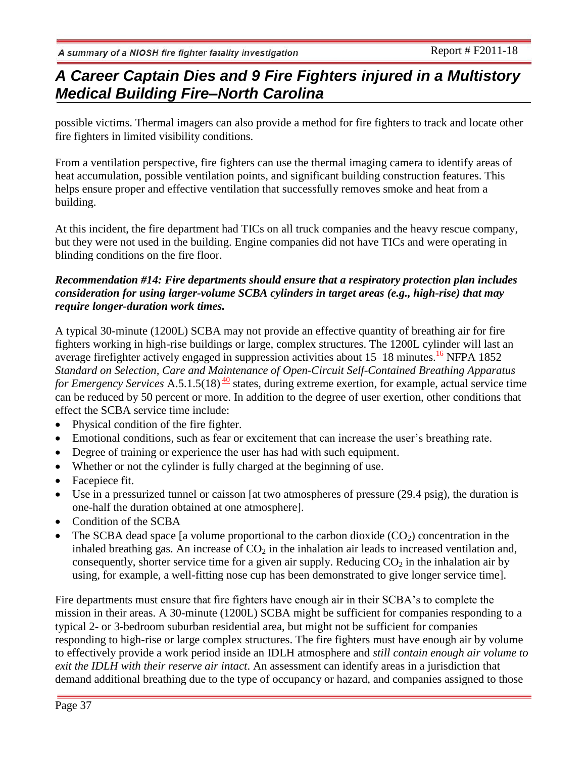possible victims. Thermal imagers can also provide a method for fire fighters to track and locate other fire fighters in limited visibility conditions.

From a ventilation perspective, fire fighters can use the thermal imaging camera to identify areas of heat accumulation, possible ventilation points, and significant building construction features. This helps ensure proper and effective ventilation that successfully removes smoke and heat from a building.

At this incident, the fire department had TICs on all truck companies and the heavy rescue company, but they were not used in the building. Engine companies did not have TICs and were operating in blinding conditions on the fire floor.

### *Recommendation #14: Fire departments should ensure that a respiratory protection plan includes consideration for using larger-volume SCBA cylinders in target areas (e.g., high-rise) that may require longer-duration work times.*

A typical 30-minute (1200L) SCBA may not provide an effective quantity of breathing air for fire fighters working in high-rise buildings or large, complex structures. The 1200L cylinder will last an average firefighter actively engaged in suppression activities about 15–18 minutes.<sup>[16](http://www.cdc.gov/niosh/fire/reports/face200911.html#ref26)</sup> NFPA 1852 *Standard on Selection, Care and Maintenance of Open-Circuit Self-Contained Breathing Apparatus for Emergency Services* A.5.1.5(18)<sup> $\frac{40}{ }$  $\frac{40}{ }$  $\frac{40}{ }$ </sup> states, during extreme exertion, for example, actual service time can be reduced by 50 percent or more. In addition to the degree of user exertion, other conditions that effect the SCBA service time include:

- Physical condition of the fire fighter.
- Emotional conditions, such as fear or excitement that can increase the user's breathing rate.
- Degree of training or experience the user has had with such equipment.
- Whether or not the cylinder is fully charged at the beginning of use.
- Facepiece fit.
- Use in a pressurized tunnel or caisson [at two atmospheres of pressure (29.4 psig), the duration is one-half the duration obtained at one atmosphere].
- Condition of the SCBA
- The SCBA dead space [a volume proportional to the carbon dioxide  $(CO<sub>2</sub>)$  concentration in the inhaled breathing gas. An increase of  $CO<sub>2</sub>$  in the inhalation air leads to increased ventilation and, consequently, shorter service time for a given air supply. Reducing  $CO<sub>2</sub>$  in the inhalation air by using, for example, a well-fitting nose cup has been demonstrated to give longer service time].

Fire departments must ensure that fire fighters have enough air in their SCBA's to complete the mission in their areas. A 30-minute (1200L) SCBA might be sufficient for companies responding to a typical 2- or 3-bedroom suburban residential area, but might not be sufficient for companies responding to high-rise or large complex structures. The fire fighters must have enough air by volume to effectively provide a work period inside an IDLH atmosphere and *still contain enough air volume to exit the IDLH with their reserve air intact*. An assessment can identify areas in a jurisdiction that demand additional breathing due to the type of occupancy or hazard, and companies assigned to those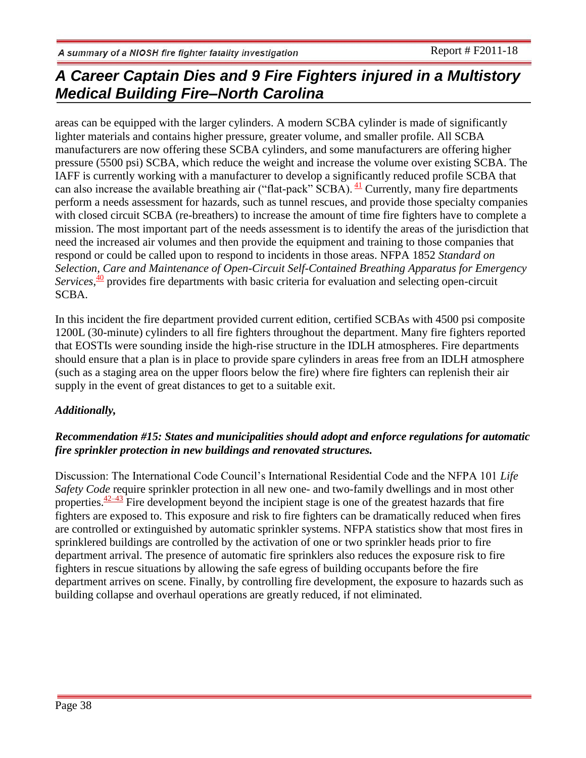areas can be equipped with the larger cylinders. A modern SCBA cylinder is made of significantly lighter materials and contains higher pressure, greater volume, and smaller profile. All SCBA manufacturers are now offering these SCBA cylinders, and some manufacturers are offering higher pressure (5500 psi) SCBA, which reduce the weight and increase the volume over existing SCBA. The IAFF is currently working with a manufacturer to develop a significantly reduced profile SCBA that can also increase the available breathing air ("flat-pack" SCBA).  $\frac{41}{1}$  $\frac{41}{1}$  $\frac{41}{1}$  Currently, many fire departments perform a needs assessment for hazards, such as tunnel rescues, and provide those specialty companies with closed circuit SCBA (re-breathers) to increase the amount of time fire fighters have to complete a mission. The most important part of the needs assessment is to identify the areas of the jurisdiction that need the increased air volumes and then provide the equipment and training to those companies that respond or could be called upon to respond to incidents in those areas. NFPA 1852 *Standard on Selection, Care and Maintenance of Open-Circuit Self-Contained Breathing Apparatus for Emergency*  Services,<sup>[40](http://www.cdc.gov/niosh/fire/reports/face200911.html#ref26)</sup> provides fire departments with basic criteria for evaluation and selecting open-circuit SCBA.

In this incident the fire department provided current edition, certified SCBAs with 4500 psi composite 1200L (30-minute) cylinders to all fire fighters throughout the department. Many fire fighters reported that EOSTIs were sounding inside the high-rise structure in the IDLH atmospheres. Fire departments should ensure that a plan is in place to provide spare cylinders in areas free from an IDLH atmosphere (such as a staging area on the upper floors below the fire) where fire fighters can replenish their air supply in the event of great distances to get to a suitable exit.

### *Additionally,*

### *Recommendation #15: States and municipalities should adopt and enforce regulations for automatic fire sprinkler protection in new buildings and renovated structures.*

Discussion: The International Code Council's International Residential Code and the NFPA 101 *Life Safety Code* require sprinkler protection in all new one- and two-family dwellings and in most other properties. $\frac{42-43}{2}$  Fire development beyond the incipient stage is one of the greatest hazards that fire fighters are exposed to. This exposure and risk to fire fighters can be dramatically reduced when fires are controlled or extinguished by automatic sprinkler systems. NFPA statistics show that most fires in sprinklered buildings are controlled by the activation of one or two sprinkler heads prior to fire department arrival. The presence of automatic fire sprinklers also reduces the exposure risk to fire fighters in rescue situations by allowing the safe egress of building occupants before the fire department arrives on scene. Finally, by controlling fire development, the exposure to hazards such as building collapse and overhaul operations are greatly reduced, if not eliminated.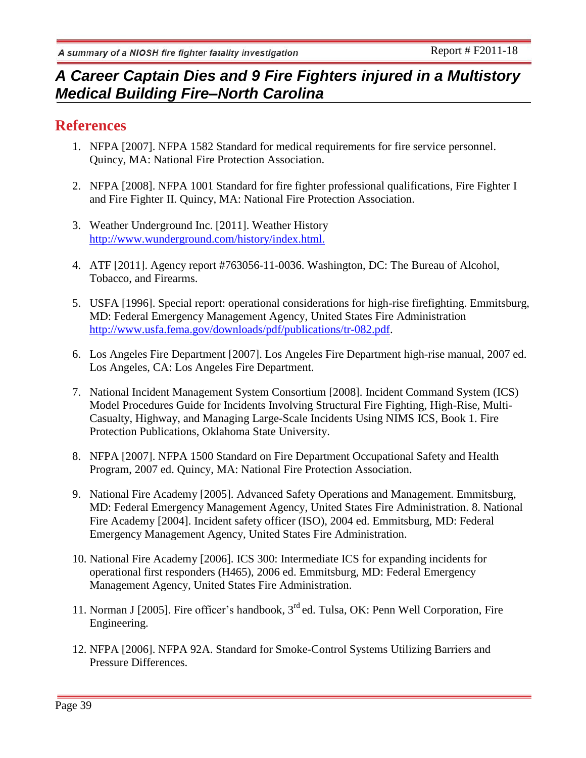## **References**

- 1. NFPA [2007]. NFPA 1582 Standard for medical requirements for fire service personnel. Quincy, MA: National Fire Protection Association.
- 2. NFPA [2008]. NFPA 1001 Standard for fire fighter professional qualifications, Fire Fighter I and Fire Fighter II. Quincy, MA: National Fire Protection Association.
- 3. Weather Underground Inc. [2011]. Weather History <http://www.wunderground.com/history/index.html.>
- 4. ATF [2011]. Agency report #763056-11-0036. Washington, DC: The Bureau of Alcohol, Tobacco, and Firearms.
- 5. USFA [1996]. Special report: operational considerations for high-rise firefighting. Emmitsburg, MD: Federal Emergency Management Agency, United States Fire Administration [http://www.usfa.fema.gov/downloads/pdf/publications/tr-082.pdf.](http://www.usfa.fema.gov/downloads/pdf/publications/tr-082.pdf)
- 6. Los Angeles Fire Department [2007]. Los Angeles Fire Department high-rise manual, 2007 ed. Los Angeles, CA: Los Angeles Fire Department.
- 7. National Incident Management System Consortium [2008]. Incident Command System (ICS) Model Procedures Guide for Incidents Involving Structural Fire Fighting, High-Rise, Multi-Casualty, Highway, and Managing Large-Scale Incidents Using NIMS ICS, Book 1. Fire Protection Publications, Oklahoma State University.
- 8. NFPA [2007]. NFPA 1500 Standard on Fire Department Occupational Safety and Health Program, 2007 ed. Quincy, MA: National Fire Protection Association.
- 9. National Fire Academy [2005]. Advanced Safety Operations and Management. Emmitsburg, MD: Federal Emergency Management Agency, United States Fire Administration. 8. National Fire Academy [2004]. Incident safety officer (ISO), 2004 ed. Emmitsburg, MD: Federal Emergency Management Agency, United States Fire Administration.
- 10. National Fire Academy [2006]. ICS 300: Intermediate ICS for expanding incidents for operational first responders (H465), 2006 ed. Emmitsburg, MD: Federal Emergency Management Agency, United States Fire Administration.
- 11. Norman J [2005]. Fire officer's handbook, 3<sup>rd</sup> ed. Tulsa, OK: Penn Well Corporation, Fire Engineering.
- 12. NFPA [2006]. NFPA 92A. Standard for Smoke-Control Systems Utilizing Barriers and Pressure Differences.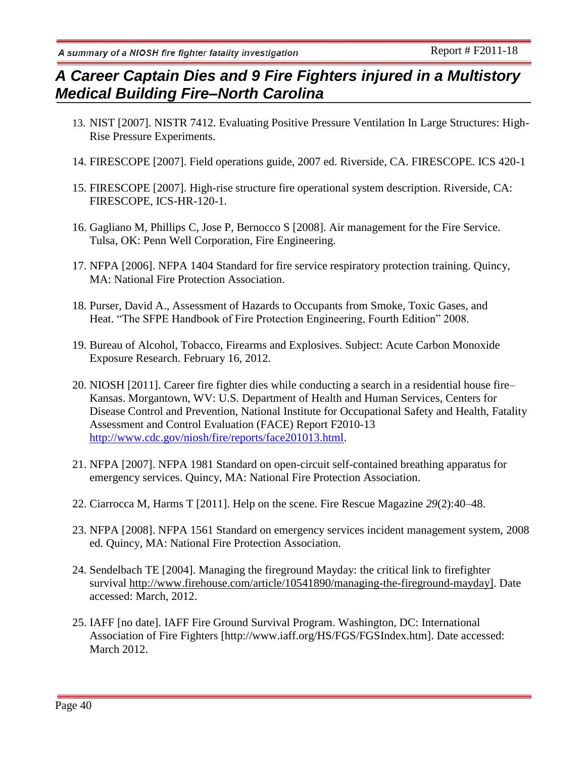- 13. NIST [2007]. NISTR 7412. Evaluating Positive Pressure Ventilation In Large Structures: High-Rise Pressure Experiments.
- 14. FIRESCOPE [2007]. Field operations guide, 2007 ed. Riverside, CA. FIRESCOPE. ICS 420-1
- 15. FIRESCOPE [2007]. High-rise structure fire operational system description. Riverside, CA: FIRESCOPE, ICS-HR-120-1.
- 16. Gagliano M, Phillips C, Jose P, Bernocco S [2008]. Air management for the Fire Service. Tulsa, OK: Penn Well Corporation, Fire Engineering.
- 17. NFPA [2006]. NFPA 1404 Standard for fire service respiratory protection training. Quincy, MA: National Fire Protection Association.
- 18. Purser, David A., Assessment of Hazards to Occupants from Smoke, Toxic Gases, and Heat. "The SFPE Handbook of Fire Protection Engineering, Fourth Edition" 2008.
- 19. Bureau of Alcohol, Tobacco, Firearms and Explosives. Subject: Acute Carbon Monoxide Exposure Research. February 16, 2012.
- 20. NIOSH [2011]. Career fire fighter dies while conducting a search in a residential house fire– Kansas. Morgantown, WV: U.S. Department of Health and Human Services, Centers for Disease Control and Prevention, National Institute for Occupational Safety and Health, Fatality Assessment and Control Evaluation (FACE) Report F2010-13 [http://www.cdc.gov/niosh/fire/reports/face201013.html.](http://www.cdc.gov/niosh/fire/reports/face201013.html)
- 21. NFPA [2007]. NFPA 1981 Standard on open-circuit self-contained breathing apparatus for emergency services. Quincy, MA: National Fire Protection Association.
- 22. Ciarrocca M, Harms T [2011]. Help on the scene. Fire Rescue Magazine *29*(2):40–48.
- 23. NFPA [2008]. NFPA 1561 Standard on emergency services incident management system, 2008 ed. Quincy, MA: National Fire Protection Association.
- 24. Sendelbach TE [2004]. Managing the fireground Mayday: the critical link to firefighter survival [http://www.firehouse.com/article/10541890/managing-the-fireground-mayday\]](http://www.firehouse.com/article/10541890/managing-the-fireground-mayday). Date accessed: March, 2012.
- 25. IAFF [no date]. IAFF Fire Ground Survival Program. Washington, DC: International Association of Fire Fighters [http://www.iaff.org/HS/FGS/FGSIndex.htm]. Date accessed: March 2012.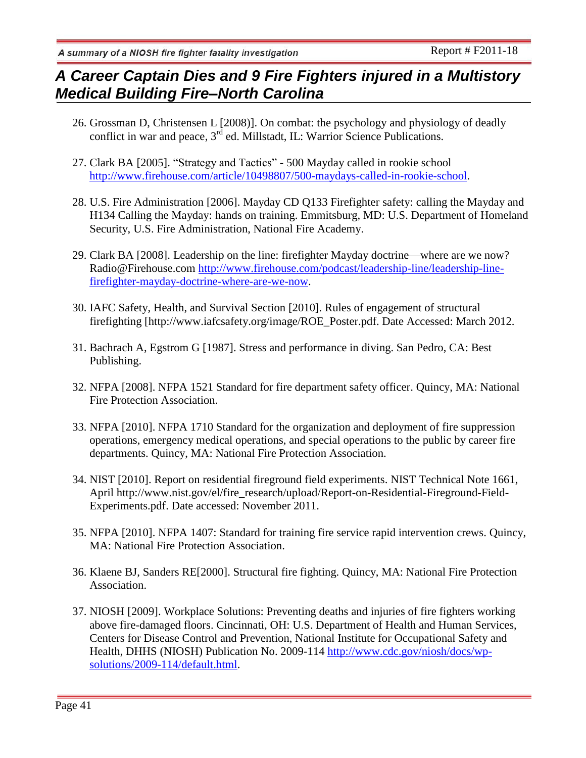# *A Career Captain Dies and 9 Fire Fighters injured in a Multistory Medical Building Fire–North Carolina*

- 26. Grossman D, Christensen L [2008)]. On combat: the psychology and physiology of deadly conflict in war and peace, 3<sup>rd</sup> ed. Millstadt, IL: Warrior Science Publications.
- 27. Clark BA [2005]. "Strategy and Tactics" 500 Mayday called in rookie school [http://www.firehouse.com/article/10498807/500-maydays-called-in-rookie-school.](http://www.firehouse.com/article/10498807/500-maydays-called-in-rookie-school)
- 28. U.S. Fire Administration [2006]. Mayday CD Q133 Firefighter safety: calling the Mayday and H134 Calling the Mayday: hands on training. Emmitsburg, MD: U.S. Department of Homeland Security, U.S. Fire Administration, National Fire Academy.
- 29. Clark BA [2008]. Leadership on the line: firefighter Mayday doctrine—where are we now? Radio@Firehouse.com [http://www.firehouse.com/podcast/leadership-line/leadership-line](http://www.firehouse.com/podcast/leadership-line/leadership-line-firefighter-mayday-doctrine-where-are-we-now)[firefighter-mayday-doctrine-where-are-we-now.](http://www.firehouse.com/podcast/leadership-line/leadership-line-firefighter-mayday-doctrine-where-are-we-now)
- 30. IAFC Safety, Health, and Survival Section [2010]. Rules of engagement of structural firefighting [http://www.iafcsafety.org/image/ROE\_Poster.pdf. Date Accessed: March 2012.
- 31. Bachrach A, Egstrom G [1987]. Stress and performance in diving. San Pedro, CA: Best Publishing.
- 32. NFPA [2008]. NFPA 1521 Standard for fire department safety officer. Quincy, MA: National Fire Protection Association.
- 33. NFPA [2010]. NFPA 1710 Standard for the organization and deployment of fire suppression operations, emergency medical operations, and special operations to the public by career fire departments. Quincy, MA: National Fire Protection Association.
- 34. NIST [2010]. Report on residential fireground field experiments. NIST Technical Note 1661, April http://www.nist.gov/el/fire\_research/upload/Report-on-Residential-Fireground-Field-Experiments.pdf. Date accessed: November 2011.
- 35. NFPA [2010]. NFPA 1407: Standard for training fire service rapid intervention crews. Quincy, MA: National Fire Protection Association.
- 36. Klaene BJ, Sanders RE[2000]. Structural fire fighting. Quincy, MA: National Fire Protection Association.
- 37. NIOSH [2009]. Workplace Solutions: Preventing deaths and injuries of fire fighters working above fire-damaged floors. Cincinnati, OH: U.S. Department of Health and Human Services, Centers for Disease Control and Prevention, National Institute for Occupational Safety and Health, DHHS (NIOSH) Publication No. 2009-114 [http://www.cdc.gov/niosh/docs/wp](http://www.cdc.gov/niosh/docs/wp-solutions/2009-114/default.html)[solutions/2009-114/default.html.](http://www.cdc.gov/niosh/docs/wp-solutions/2009-114/default.html)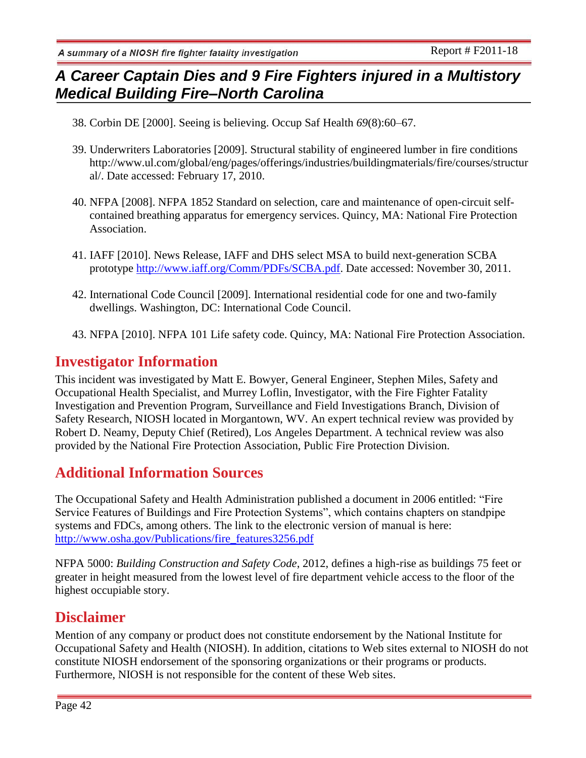- 38. Corbin DE [2000]. Seeing is believing. Occup Saf Health *69*(8):60–67.
- 39. Underwriters Laboratories [2009]. Structural stability of engineered lumber in fire conditions http://www.ul.com/global/eng/pages/offerings/industries/buildingmaterials/fire/courses/structur al/. Date accessed: February 17, 2010.
- 40. NFPA [2008]. NFPA 1852 Standard on selection, care and maintenance of open-circuit selfcontained breathing apparatus for emergency services. Quincy, MA: National Fire Protection Association.
- 41. IAFF [2010]. News Release, IAFF and DHS select MSA to build next-generation SCBA prototype [http://www.iaff.org/Comm/PDFs/SCBA.pdf.](http://www.iaff.org/Comm/PDFs/SCBA.pdf) Date accessed: November 30, 2011.
- 42. International Code Council [2009]. International residential code for one and two-family dwellings. Washington, DC: International Code Council.
- 43. NFPA [2010]. NFPA 101 Life safety code. Quincy, MA: National Fire Protection Association.

## **Investigator Information**

This incident was investigated by Matt E. Bowyer, General Engineer, Stephen Miles, Safety and Occupational Health Specialist, and Murrey Loflin, Investigator, with the Fire Fighter Fatality Investigation and Prevention Program, Surveillance and Field Investigations Branch, Division of Safety Research, NIOSH located in Morgantown, WV. An expert technical review was provided by Robert D. Neamy, Deputy Chief (Retired), Los Angeles Department. A technical review was also provided by the National Fire Protection Association, Public Fire Protection Division.

# **Additional Information Sources**

The Occupational Safety and Health Administration published a document in 2006 entitled: "Fire Service Features of Buildings and Fire Protection Systems", which contains chapters on standpipe systems and FDCs, among others. The link to the electronic version of manual is here: [http://www.osha.gov/Publications/fire\\_features3256.pdf](http://www.osha.gov/Publications/fire_features3256.pdf)

NFPA 5000: *Building Construction and Safety Code*, 2012, defines a high-rise as buildings 75 feet or greater in height measured from the lowest level of fire department vehicle access to the floor of the highest occupiable story.

## **Disclaimer**

Mention of any company or product does not constitute endorsement by the National Institute for Occupational Safety and Health (NIOSH). In addition, citations to Web sites external to NIOSH do not constitute NIOSH endorsement of the sponsoring organizations or their programs or products. Furthermore, NIOSH is not responsible for the content of these Web sites.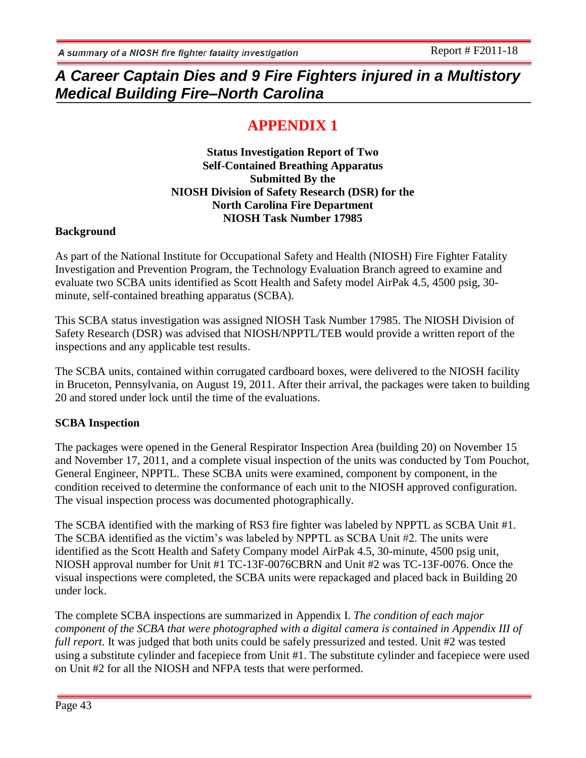# **APPENDIX 1**

**Status Investigation Report of Two Self-Contained Breathing Apparatus Submitted By the NIOSH Division of Safety Research (DSR) for the North Carolina Fire Department NIOSH Task Number 17985**

### **Background**

As part of the National Institute for Occupational Safety and Health (NIOSH) Fire Fighter Fatality Investigation and Prevention Program, the Technology Evaluation Branch agreed to examine and evaluate two SCBA units identified as Scott Health and Safety model AirPak 4.5, 4500 psig, 30 minute, self-contained breathing apparatus (SCBA).

This SCBA status investigation was assigned NIOSH Task Number 17985. The NIOSH Division of Safety Research (DSR) was advised that NIOSH/NPPTL/TEB would provide a written report of the inspections and any applicable test results.

The SCBA units, contained within corrugated cardboard boxes, were delivered to the NIOSH facility in Bruceton, Pennsylvania, on August 19, 2011. After their arrival, the packages were taken to building 20 and stored under lock until the time of the evaluations.

### **SCBA Inspection**

The packages were opened in the General Respirator Inspection Area (building 20) on November 15 and November 17, 2011, and a complete visual inspection of the units was conducted by Tom Pouchot, General Engineer, NPPTL. These SCBA units were examined, component by component, in the condition received to determine the conformance of each unit to the NIOSH approved configuration. The visual inspection process was documented photographically.

The SCBA identified with the marking of RS3 fire fighter was labeled by NPPTL as SCBA Unit #1. The SCBA identified as the victim's was labeled by NPPTL as SCBA Unit #2. The units were identified as the Scott Health and Safety Company model AirPak 4.5, 30-minute, 4500 psig unit, NIOSH approval number for Unit #1 TC-13F-0076CBRN and Unit #2 was TC-13F-0076. Once the visual inspections were completed, the SCBA units were repackaged and placed back in Building 20 under lock.

The complete SCBA inspections are summarized in Appendix I. *The condition of each major component of the SCBA that were photographed with a digital camera is contained in Appendix III of full report.* It was judged that both units could be safely pressurized and tested. Unit #2 was tested using a substitute cylinder and facepiece from Unit #1. The substitute cylinder and facepiece were used on Unit #2 for all the NIOSH and NFPA tests that were performed.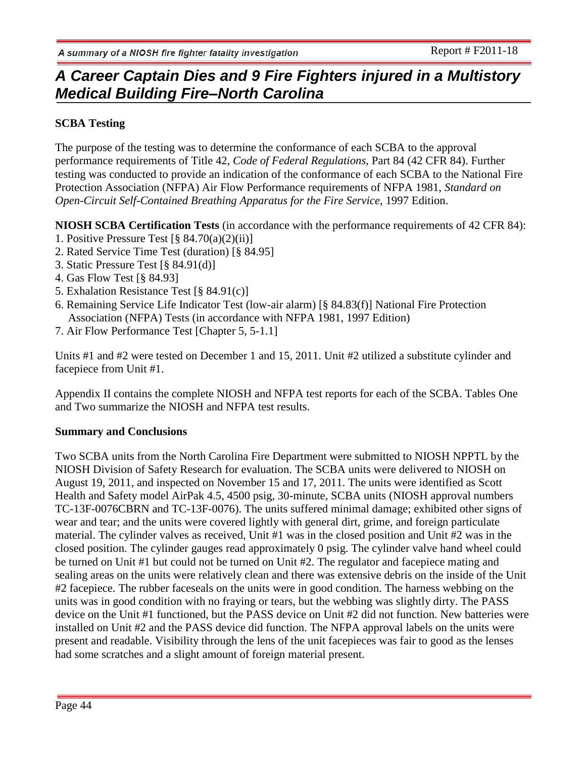## **SCBA Testing**

The purpose of the testing was to determine the conformance of each SCBA to the approval performance requirements of Title 42, *Code of Federal Regulations*, Part 84 (42 CFR 84). Further testing was conducted to provide an indication of the conformance of each SCBA to the National Fire Protection Association (NFPA) Air Flow Performance requirements of NFPA 1981, *Standard on Open-Circuit Self-Contained Breathing Apparatus for the Fire Service*, 1997 Edition.

**NIOSH SCBA Certification Tests** (in accordance with the performance requirements of 42 CFR 84):

- 1. Positive Pressure Test  $\lceil \frac{8}{9} \cdot 84.70(a)(2)(ii) \rceil$
- 2. Rated Service Time Test (duration) [§ 84.95]
- 3. Static Pressure Test [§ 84.91(d)]
- 4. Gas Flow Test [§ 84.93]
- 5. Exhalation Resistance Test [§ 84.91(c)]
- 6. Remaining Service Life Indicator Test (low-air alarm) [§ 84.83(f)] National Fire Protection Association (NFPA) Tests (in accordance with NFPA 1981, 1997 Edition)
- 7. Air Flow Performance Test [Chapter 5, 5-1.1]

Units #1 and #2 were tested on December 1 and 15, 2011. Unit #2 utilized a substitute cylinder and facepiece from Unit #1.

Appendix II contains the complete NIOSH and NFPA test reports for each of the SCBA. Tables One and Two summarize the NIOSH and NFPA test results.

### **Summary and Conclusions**

Two SCBA units from the North Carolina Fire Department were submitted to NIOSH NPPTL by the NIOSH Division of Safety Research for evaluation. The SCBA units were delivered to NIOSH on August 19, 2011, and inspected on November 15 and 17, 2011. The units were identified as Scott Health and Safety model AirPak 4.5, 4500 psig, 30-minute, SCBA units (NIOSH approval numbers TC-13F-0076CBRN and TC-13F-0076). The units suffered minimal damage; exhibited other signs of wear and tear; and the units were covered lightly with general dirt, grime, and foreign particulate material. The cylinder valves as received, Unit #1 was in the closed position and Unit #2 was in the closed position. The cylinder gauges read approximately 0 psig. The cylinder valve hand wheel could be turned on Unit #1 but could not be turned on Unit #2. The regulator and facepiece mating and sealing areas on the units were relatively clean and there was extensive debris on the inside of the Unit #2 facepiece. The rubber faceseals on the units were in good condition. The harness webbing on the units was in good condition with no fraying or tears, but the webbing was slightly dirty. The PASS device on the Unit #1 functioned, but the PASS device on Unit #2 did not function. New batteries were installed on Unit #2 and the PASS device did function. The NFPA approval labels on the units were present and readable. Visibility through the lens of the unit facepieces was fair to good as the lenses had some scratches and a slight amount of foreign material present.